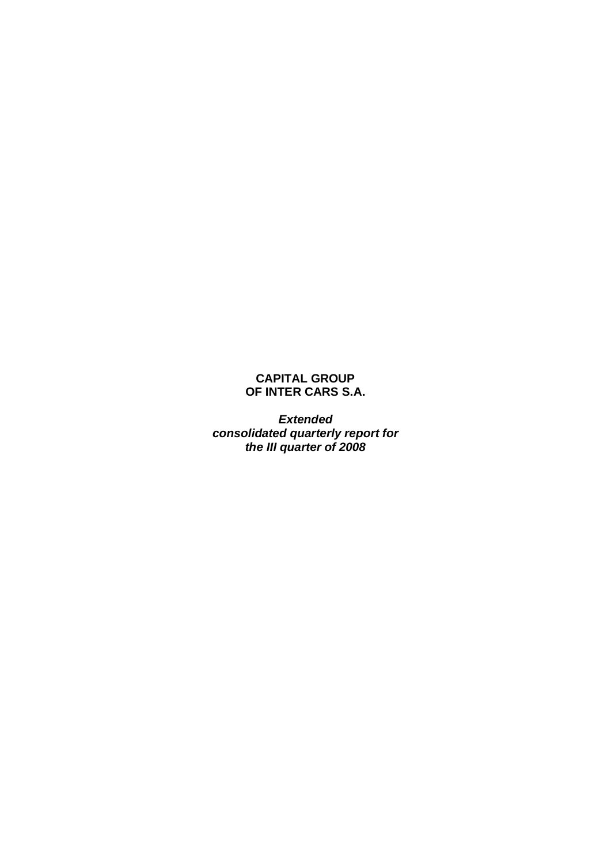# **CAPITAL GROUP OF INTER CARS S.A.**

*Extended consolidated quarterly report for the III quarter of 2008*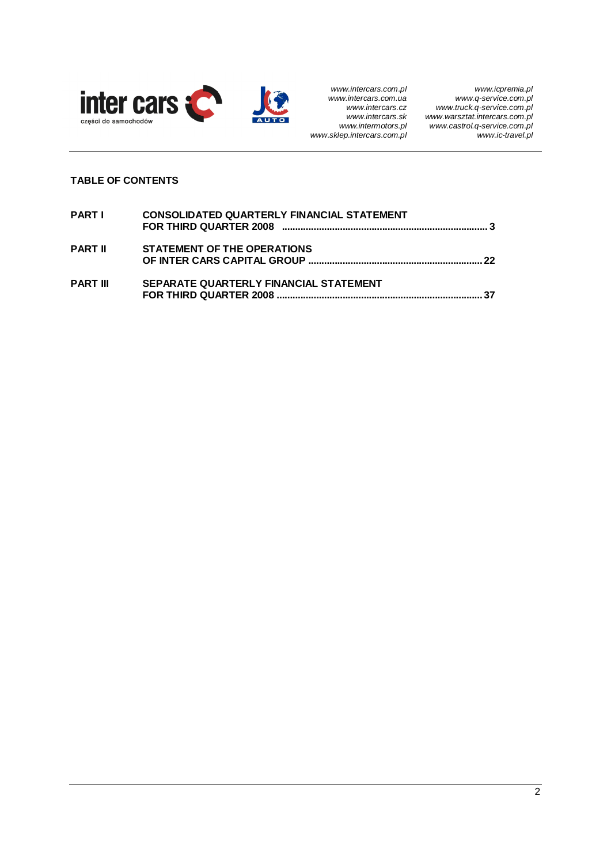

# **TABLE OF CONTENTS**

| PARTI           | CONSOLIDATED QUARTERLY FINANCIAL STATEMENT |
|-----------------|--------------------------------------------|
| <b>PART II</b>  | <b>STATEMENT OF THE OPERATIONS</b>         |
| <b>PART III</b> | SEPARATE QUARTERLY FINANCIAL STATEMENT     |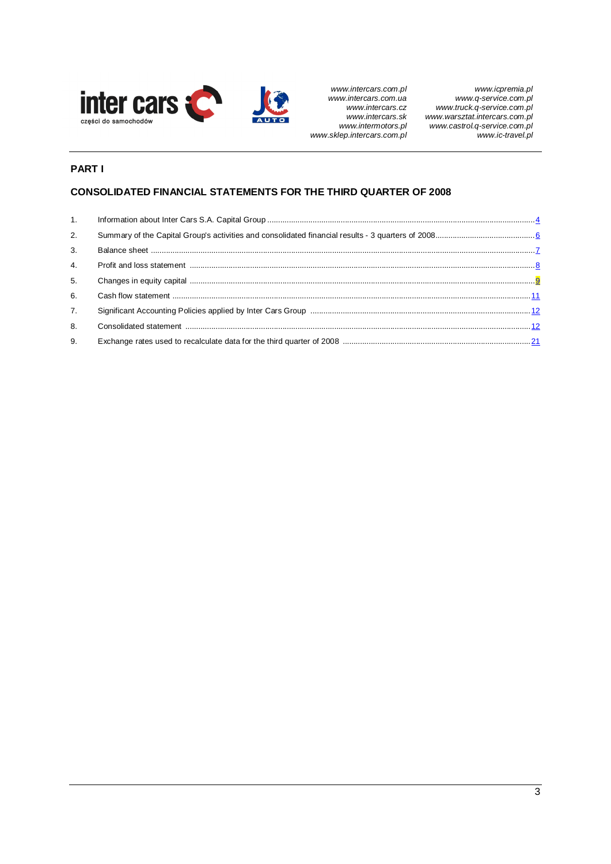

# **PART I**

# **CONSOLIDATED FINANCIAL STATEMENTS FOR THE THIRD QUARTER OF 2008**

| 1. |  |
|----|--|
| 2. |  |
| 3. |  |
| 4. |  |
| 5. |  |
| 6. |  |
| 7. |  |
| 8. |  |
| 9. |  |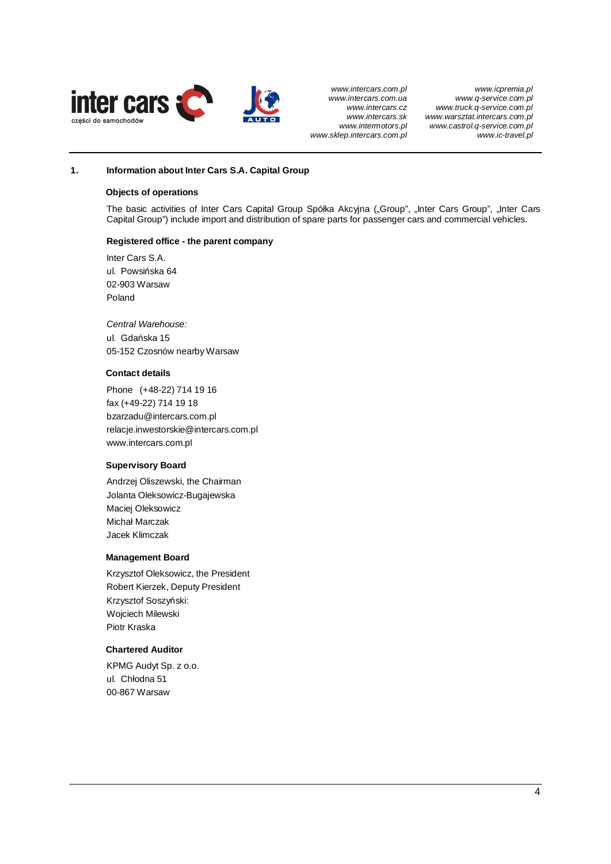

*www.icpremia.pl www.q-service.com.pl www.truck.q-service.com.pl www.warsztat.intercars.com.pl www.castrol.q-service.com.pl www.ic-travel.pl*

## **1. Information about Inter Cars S.A. Capital Group**

#### **Objects of operations**

The basic activities of Inter Cars Capital Group Spółka Akcyjna ("Group", "Inter Cars Group", "Inter Cars Capital Group") include import and distribution of spare parts for passenger cars and commercial vehicles.

## **Registered office - the parent company**

Inter Cars S.A. ul. Powsińska 64 02-903 Warsaw Poland

*Central Warehouse:*  ul. Gdańska 15 05-152 Czosnów nearby Warsaw

## **Contact details**

Phone (+48-22) 714 19 16 fax (+49-22) 714 19 18 bzarzadu@intercars.com.pl relacje.inwestorskie@intercars.com.pl www.intercars.com.pl

## **Supervisory Board**

Andrzej Oliszewski, the Chairman Jolanta Oleksowicz-Bugajewska Maciej Oleksowicz Michaá Marczak Jacek Klimczak

#### **Management Board**

Krzysztof Oleksowicz, the President Robert Kierzek, Deputy President Krzysztof Soszyński: Wojciech Milewski Piotr Kraska

## **Chartered Auditor**

KPMG Audyt Sp. z o.o. ul. Chłodna 51 00-867 Warsaw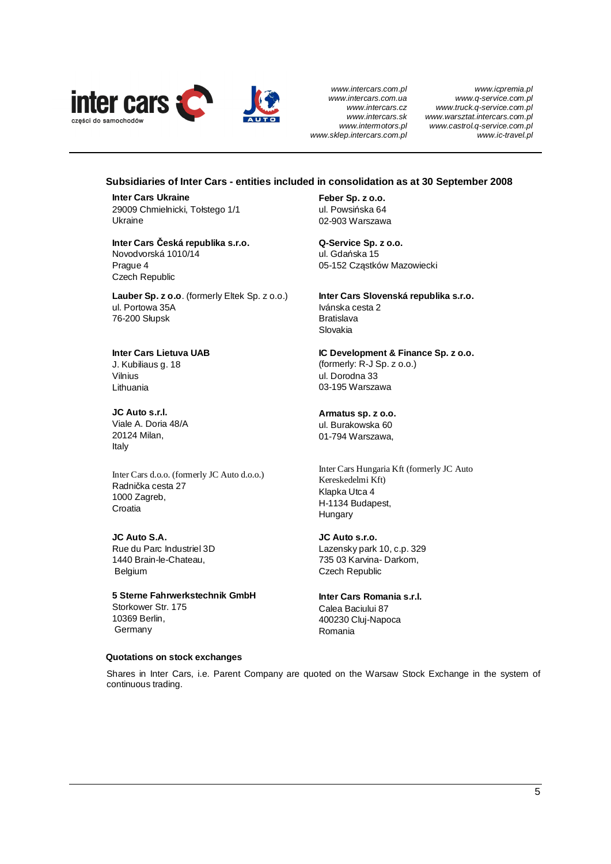

*www.icpremia.pl www.q-service.com.pl www.truck.q-service.com.pl www.warsztat.intercars.com.pl www.castrol.q-service.com.pl www.ic-travel.pl*

## **Subsidiaries of Inter Cars - entities included in consolidation as at 30 September 2008**

**Inter Cars Ukraine**  29009 Chmielnicki, Tołstego 1/1 Ukraine

**Inter Cars ýeská republika s.r.o.**  Novodvorská 1010/14 Prague 4 Czech Republic

**Lauber Sp. z o.o**. (formerly Eltek Sp. z o.o.) ul. Portowa 35A 76-200 Sáupsk

**Inter Cars Lietuva UAB**

J. Kubiliaus g. 18 Vilnius Lithuania

**JC Auto s.r.l.**  Viale A. Doria 48/A 20124 Milan, Italy

Inter Cars d.o.o. (formerly JC Auto d.o.o.) Radnička cesta 27 1000 Zagreb, Croatia

**JC Auto S.A.**  Rue du Parc Industriel 3D 1440 Brain-le-Chateau, Belgium

**5 Sterne Fahrwerkstechnik GmbH**  Storkower Str. 175 10369 Berlin, Germany

**Feber Sp. z o.o.**  ul. Powsińska 64 02-903 Warszawa

**Q-Service Sp. z o.o.**  ul. Gdańska 15 05-152 Cząstków Mazowiecki

**Inter Cars Slovenská republika s.r.o.**  Ivánska cesta 2 Bratislava Slovakia

**IC Development & Finance Sp. z o.o.**  (formerly: R-J Sp. z o.o.) ul. Dorodna 33 03-195 Warszawa

**Armatus sp. z o.o.**  ul. Burakowska 60 01-794 Warszawa,

Inter Cars Hungaria Kft (formerly JC Auto Kereskedelmi Kft) Klapka Utca 4 H-1134 Budapest, **Hungary** 

**JC Auto s.r.o.**  Lazensky park 10, c.p. 329 735 03 Karvina- Darkom, Czech Republic

**Inter Cars Romania s.r.l.**  Calea Baciului 87 400230 Cluj-Napoca Romania

#### **Quotations on stock exchanges**

Shares in Inter Cars, i.e. Parent Company are quoted on the Warsaw Stock Exchange in the system of continuous trading.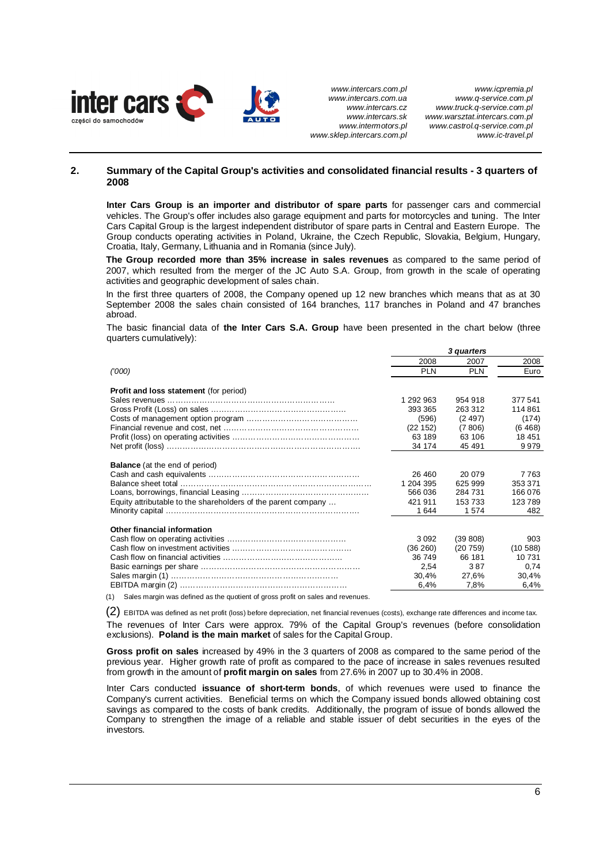

## **2. Summary of the Capital Group's activities and consolidated financial results - 3 quarters of 2008**

**Inter Cars Group is an importer and distributor of spare parts** for passenger cars and commercial vehicles. The Group's offer includes also garage equipment and parts for motorcycles and tuning. The Inter Cars Capital Group is the largest independent distributor of spare parts in Central and Eastern Europe. The Group conducts operating activities in Poland, Ukraine, the Czech Republic, Slovakia, Belgium, Hungary, Croatia, Italy, Germany, Lithuania and in Romania (since July).

**The Group recorded more than 35% increase in sales revenues** as compared to the same period of 2007, which resulted from the merger of the JC Auto S.A. Group, from growth in the scale of operating activities and geographic development of sales chain.

In the first three quarters of 2008, the Company opened up 12 new branches which means that as at 30 September 2008 the sales chain consisted of 164 branches, 117 branches in Poland and 47 branches abroad.

The basic financial data of **the Inter Cars S.A. Group** have been presented in the chart below (three quarters cumulatively):

|                                                               | 3 quarters |            |           |
|---------------------------------------------------------------|------------|------------|-----------|
|                                                               | 2008       | 2007       | 2008      |
| (000)                                                         | <b>PLN</b> | <b>PLN</b> | Euro      |
| <b>Profit and loss statement</b> (for period)                 |            |            |           |
|                                                               | 1 292 963  | 954 918    | 377 541   |
|                                                               | 393 365    | 263 312    | 114861    |
|                                                               | (596)      | (2497)     | (174)     |
|                                                               | (22 152)   | (7806)     | (6468)    |
|                                                               | 63 189     | 63 106     | 18 451    |
|                                                               | 34 174     | 45 491     | 9979      |
|                                                               |            |            |           |
| <b>Balance</b> (at the end of period)                         |            |            |           |
|                                                               | 26 460     | 20 079     | 7763      |
|                                                               | 1 204 395  | 625 999    | 353 371   |
|                                                               | 566 036    | 284 731    | 166 076   |
| Equity attributable to the shareholders of the parent company | 421 911    | 153 733    | 123789    |
|                                                               | 1644       | 1574       | 482       |
|                                                               |            |            |           |
| Other financial information                                   |            |            |           |
|                                                               | 3092       | (39 808)   | 903       |
|                                                               | (36 260)   | (20759)    | (10, 588) |
|                                                               | 36 749     | 66 181     | 10 731    |
|                                                               | 2,54       | 387        | 0,74      |
|                                                               | 30,4%      | 27,6%      | 30,4%     |
|                                                               | 6,4%       | 7,8%       | 6,4%      |
|                                                               |            |            |           |

(1) Sales margin was defined as the quotient of gross profit on sales and revenues.

(2) EBITDA was defined as net profit (loss) before depreciation, net financial revenues (costs), exchange rate differences and income tax. The revenues of Inter Cars were approx. 79% of the Capital Group's revenues (before consolidation exclusions). **Poland is the main market** of sales for the Capital Group.

**Gross profit on sales** increased by 49% in the 3 quarters of 2008 as compared to the same period of the previous year. Higher growth rate of profit as compared to the pace of increase in sales revenues resulted from growth in the amount of **profit margin on sales** from 27.6% in 2007 up to 30.4% in 2008.

Inter Cars conducted **issuance of short-term bonds**, of which revenues were used to finance the Company's current activities. Beneficial terms on which the Company issued bonds allowed obtaining cost savings as compared to the costs of bank credits. Additionally, the program of issue of bonds allowed the Company to strengthen the image of a reliable and stable issuer of debt securities in the eyes of the investors.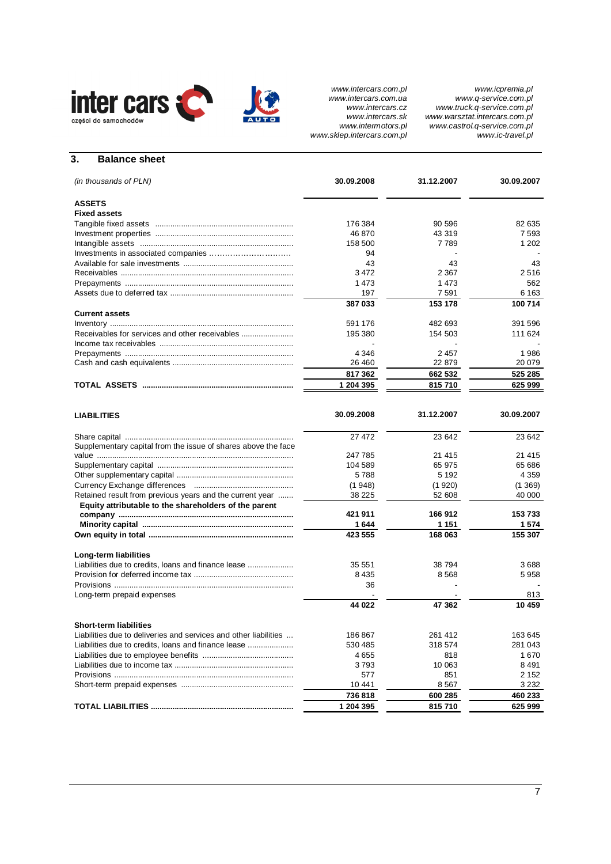

*www.icpremia.pl www.q-service.com.pl www.truck.q-service.com.pl www.warsztat.intercars.com.pl www.castrol.q-service.com.pl www.ic-travel.pl*

# **3. Balance sheet**

| (in thousands of PLN)                                            | 30.09.2008    | 31.12.2007         | 30.09.2007        |
|------------------------------------------------------------------|---------------|--------------------|-------------------|
| <b>ASSETS</b>                                                    |               |                    |                   |
| <b>Fixed assets</b>                                              |               |                    |                   |
|                                                                  | 176 384       | 90 596             | 82 635            |
|                                                                  | 46 870        | 43 319             | 7593              |
|                                                                  | 158 500       | 7789               | 1 2 0 2           |
|                                                                  | 94            |                    |                   |
|                                                                  | 43            | 43                 | 43                |
|                                                                  | 3472          | 2 3 6 7            | 2516              |
|                                                                  | 1473          | 1473               | 562               |
|                                                                  | 197<br>387033 | 7 5 9 1<br>153 178 | 6 1 6 3<br>100714 |
| <b>Current assets</b>                                            |               |                    |                   |
|                                                                  | 591 176       | 482 693            | 391 596           |
| Receivables for services and other receivables                   | 195 380       | 154 503            | 111 624           |
|                                                                  |               |                    |                   |
|                                                                  | 4 3 4 6       | 2457               | 1986              |
|                                                                  | 26 460        | 22 879             | 20 079            |
|                                                                  | 817362        | 662 532            | 525 285           |
|                                                                  | 1 204 395     | 815710             | 625 999           |
|                                                                  |               |                    |                   |
| <b>LIABILITIES</b>                                               | 30.09.2008    | 31.12.2007         | 30.09.2007        |
|                                                                  | 27 472        | 23 642             | 23 642            |
| Supplementary capital from the issue of shares above the face    |               |                    |                   |
|                                                                  | 247 785       | 21 415             | 21 4 15           |
|                                                                  | 104 589       | 65 975             | 65 686            |
|                                                                  | 5788          | 5 1 9 2            | 4 3 5 9           |
|                                                                  | (1948)        | (1920)             | (1369)            |
| Retained result from previous years and the current year         | 38 225        | 52 608             | 40 000            |
| Equity attributable to the shareholders of the parent            |               |                    |                   |
|                                                                  | 421911        | 166 912            | 153733            |
|                                                                  | 1 644         | 1 151              | 1574              |
|                                                                  | 423 555       | 168 063            | 155 307           |
| Long-term liabilities                                            |               |                    |                   |
| Liabilities due to credits, loans and finance lease              | 35 551        | 38 794             | 3688              |
|                                                                  | 8435          | 8568               | 5958              |
|                                                                  | 36            |                    |                   |
| Long-term prepaid expenses                                       |               |                    | 813               |
|                                                                  | 44 022        | 47 362             | 10 459            |
| <b>Short-term liabilities</b>                                    |               |                    |                   |
| Liabilities due to deliveries and services and other liabilities | 186 867       | 261 412            | 163 645           |
| Liabilities due to credits, loans and finance lease              | 530 485       | 318 574            | 281 043           |
|                                                                  | 4655          | 818                | 1670              |
|                                                                  | 3793          | 10 063             | 8491              |
|                                                                  | 577           | 851                | 2 1 5 2           |
|                                                                  | 10 441        | 8567               | 3 2 3 2           |
|                                                                  | 736818        | 600 285            | 460 233           |
|                                                                  | 1 204 395     | 815710             | 625 999           |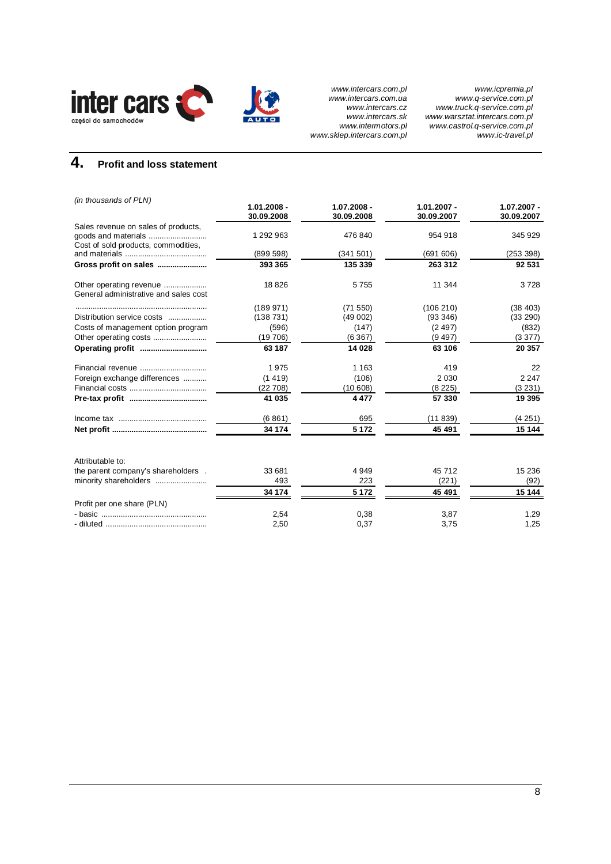

# **4. Profit and loss statement**

| (in thousands of PLN)                 | $1.01.2008 -$ | 1.07.2008 - | $1.01.2007 -$ | 1.07.2007 - |
|---------------------------------------|---------------|-------------|---------------|-------------|
|                                       | 30.09.2008    | 30.09.2008  | 30.09.2007    | 30.09.2007  |
| Sales revenue on sales of products,   |               |             |               |             |
|                                       | 1 292 963     | 476 840     | 954 918       | 345 929     |
| Cost of sold products, commodities,   |               |             |               |             |
|                                       | (899 598)     | (341501)    | (691606)      | (253 398)   |
| Gross profit on sales                 | 393 365       | 135 339     | 263 312       | 92 531      |
| Other operating revenue               | 18826         | 5755        | 11 344        | 3728        |
| General administrative and sales cost |               |             |               |             |
|                                       | (189971)      | (71 550)    | (106 210)     | (38 403)    |
| Distribution service costs            | (138731)      | (49002)     | (93 346)      | (33 290)    |
| Costs of management option program    | (596)         | (147)       | (2497)        | (832)       |
|                                       | (19706)       | (6367)      | (9497)        | (3377)      |
| Operating profit                      | 63 187        | 14 0 28     | 63 106        | 20 357      |
| Financial revenue                     | 1975          | 1 1 6 3     | 419           | 22          |
| Foreign exchange differences          | (1419)        | (106)       | 2 0 3 0       | 2 2 4 7     |
|                                       | (22708)       | (10608)     | (8225)        | (3 231)     |
|                                       | 41 035        | 4477        | 57 330        | 19 3 95     |
|                                       | (6861)        | 695         | (11839)       | (4251)      |
|                                       | 34 174        | 5 1 7 2     | 45 491        | 15 144      |
| Attributable to:                      |               |             |               |             |
| the parent company's shareholders.    | 33 681        | 4949        | 45 712        | 15 2 36     |
| minority shareholders                 | 493           | 223         | (221)         | (92)        |
|                                       | 34 174        | 5 1 7 2     | 45 491        | 15 144      |
| Profit per one share (PLN)            |               |             |               |             |
|                                       | 2,54          | 0,38        | 3,87          | 1,29        |
|                                       | 2,50          | 0,37        | 3,75          | 1,25        |
|                                       |               |             |               |             |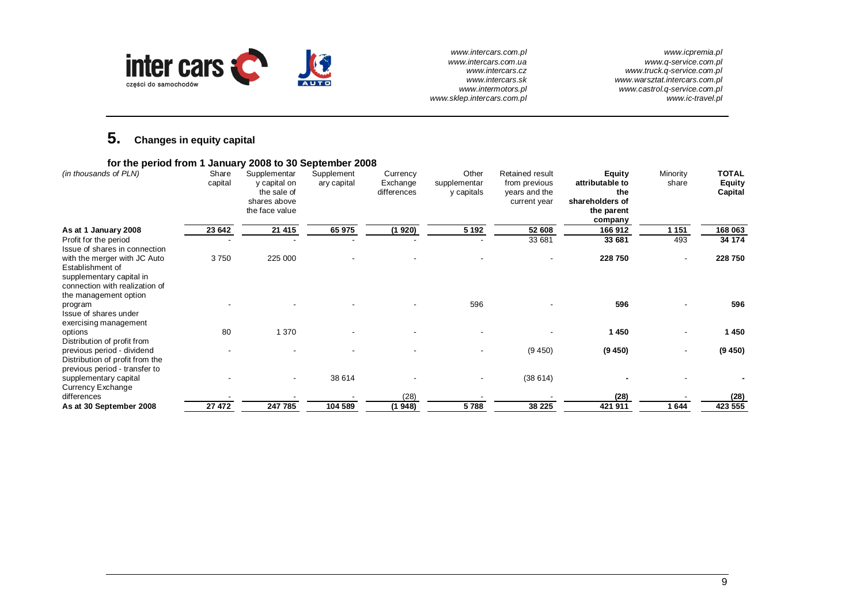

*www.icpremia.pl www.q-service.com.pl www.truck.q-service.com.pl www.warsztat.intercars.com.pl www.castrol.q-service.com.pl www.ic-travel.pl*

# **5. Changes in equity capital**

| for the period from 1 January 2008 to 30 September 2008                                                        |                  |                                                                               |                           |                                     |                                     |                                                                   |                                                                                     |                   |                                          |
|----------------------------------------------------------------------------------------------------------------|------------------|-------------------------------------------------------------------------------|---------------------------|-------------------------------------|-------------------------------------|-------------------------------------------------------------------|-------------------------------------------------------------------------------------|-------------------|------------------------------------------|
| (in thousands of PLN)                                                                                          | Share<br>capital | Supplementar<br>y capital on<br>the sale of<br>shares above<br>the face value | Supplement<br>ary capital | Currency<br>Exchange<br>differences | Other<br>supplementar<br>y capitals | Retained result<br>from previous<br>years and the<br>current year | <b>Equity</b><br>attributable to<br>the<br>shareholders of<br>the parent<br>company | Minority<br>share | <b>TOTAL</b><br><b>Equity</b><br>Capital |
| As at 1 January 2008                                                                                           | 23 642           | 21 415                                                                        | 65 975                    | (1920)                              | 5 1 9 2                             | 52 608                                                            | 166912                                                                              | 1 1 5 1           | 168 063                                  |
| Profit for the period<br>Issue of shares in connection                                                         | $\blacksquare$   |                                                                               |                           |                                     |                                     | 33 681                                                            | 33 681                                                                              | 493               | 34 174                                   |
| with the merger with JC Auto<br>Establishment of<br>supplementary capital in<br>connection with realization of | 3750             | 225 000                                                                       |                           |                                     |                                     |                                                                   | 228 750                                                                             | ۰                 | 228 750                                  |
| the management option<br>program<br>Issue of shares under<br>exercising management                             |                  |                                                                               |                           |                                     | 596                                 |                                                                   | 596                                                                                 |                   | 596                                      |
| options<br>Distribution of profit from                                                                         | 80               | 1 370                                                                         |                           |                                     |                                     |                                                                   | 1450                                                                                | ۰                 | 1450                                     |
| previous period - dividend<br>Distribution of profit from the<br>previous period - transfer to                 | $\blacksquare$   |                                                                               |                           |                                     |                                     | (9450)                                                            | (9450)                                                                              | ۰                 | (9450)                                   |
| supplementary capital<br>Currency Exchange                                                                     |                  | $\blacksquare$                                                                | 38 614                    |                                     |                                     | (38614)                                                           |                                                                                     |                   |                                          |
| differences                                                                                                    |                  |                                                                               |                           | (28)                                |                                     |                                                                   | (28)                                                                                |                   | (28)                                     |
| As at 30 September 2008                                                                                        | 27 472           | 247 785                                                                       | 104 589                   | (1948)                              | 5788                                | 38 225                                                            | 421 911                                                                             | 1644              | 423 555                                  |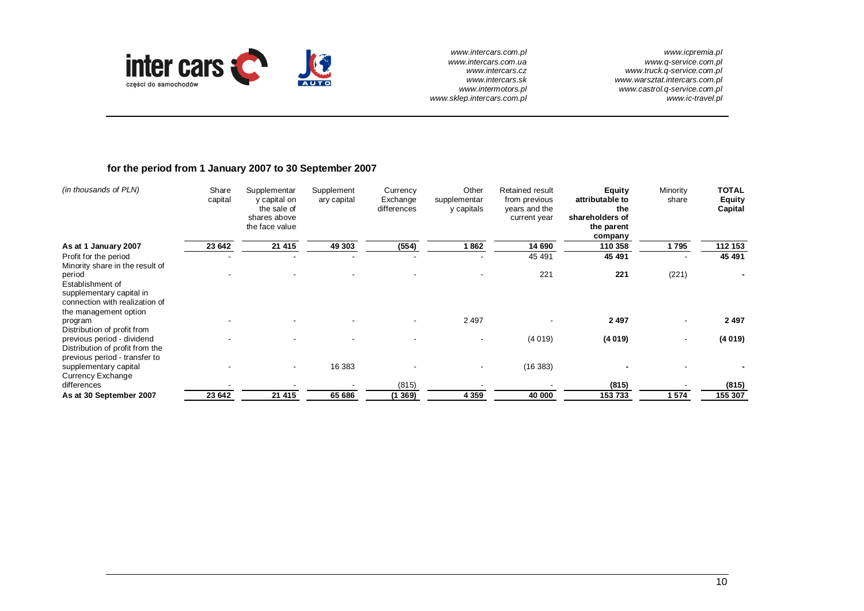

*www.icpremia.pl www.q-service.com.pl www.truck.q-service.com.pl www.warsztat.intercars.com.pl www.castrol.q-service.com.pl www.ic-travel.pl*

## **for the period from 1 January 2007 to 30 September 2007**

| (in thousands of PLN)                                                                                             | Share<br>capital | Supplementar<br>y capital on<br>the sale of<br>shares above<br>the face value | Supplement<br>ary capital | Currency<br>Exchange<br>differences | Other<br>supplementar<br>y capitals | Retained result<br>from previous<br>years and the<br>current year | <b>Equity</b><br>attributable to<br>the<br>shareholders of<br>the parent<br>company | Minority<br>share | <b>TOTAL</b><br><b>Equity</b><br>Capital |
|-------------------------------------------------------------------------------------------------------------------|------------------|-------------------------------------------------------------------------------|---------------------------|-------------------------------------|-------------------------------------|-------------------------------------------------------------------|-------------------------------------------------------------------------------------|-------------------|------------------------------------------|
| As at 1 January 2007                                                                                              | 23 642           | 21 415                                                                        | 49 303                    | (554)                               | 1862                                | 14 690                                                            | 110 358                                                                             | 1795              | 112 153                                  |
| Profit for the period<br>Minority share in the result of                                                          |                  |                                                                               |                           |                                     |                                     | 45 491                                                            | 45 491                                                                              |                   | 45 491                                   |
| period<br>Establishment of<br>supplementary capital in<br>connection with realization of<br>the management option |                  |                                                                               |                           |                                     |                                     | 221                                                               | 221                                                                                 | (221)             |                                          |
| program<br>Distribution of profit from                                                                            |                  |                                                                               |                           | $\overline{\phantom{a}}$            | 2497                                |                                                                   | 2 4 9 7                                                                             | ۰                 | 2 4 9 7                                  |
| previous period - dividend<br>Distribution of profit from the<br>previous period - transfer to                    |                  |                                                                               |                           |                                     |                                     | (4019)                                                            | (4019)                                                                              | ۰                 | (4019)                                   |
| supplementary capital<br>Currency Exchange                                                                        |                  |                                                                               | 16 383                    |                                     |                                     | (16 383)                                                          |                                                                                     |                   |                                          |
| differences                                                                                                       |                  |                                                                               |                           | (815)                               |                                     |                                                                   | (815)                                                                               |                   | (815)                                    |
| As at 30 September 2007                                                                                           | 23 642           | 21 415                                                                        | 65 686                    | (1369)                              | 4 3 5 9                             | 40 000                                                            | 153733                                                                              | 1574              | 155 307                                  |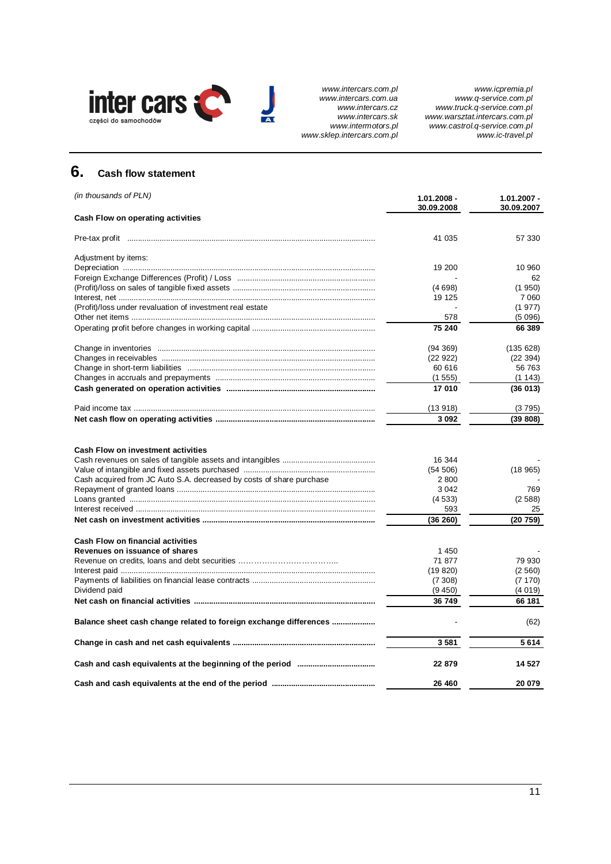

# **6. Cash flow statement**

| (in thousands of PLN)                                                | $1.01.2008 -$<br>30.09.2008 | $1.01.2007 -$<br>30.09.2007 |
|----------------------------------------------------------------------|-----------------------------|-----------------------------|
| Cash Flow on operating activities                                    |                             |                             |
|                                                                      | 41 035                      | 57 330                      |
| Adjustment by items:                                                 |                             |                             |
|                                                                      | 19 200                      | 10 960                      |
|                                                                      |                             | 62                          |
|                                                                      | (4698)                      | (1950)                      |
|                                                                      | 19 125                      | 7060                        |
| (Profit)/loss under revaluation of investment real estate            |                             | (1977)                      |
|                                                                      | 578                         | (5096)                      |
|                                                                      | 75 240                      | 66 389                      |
|                                                                      | (94369)                     | (135628)                    |
|                                                                      | (22922)                     | (22 394)                    |
|                                                                      | 60 616                      | 56 763                      |
|                                                                      | (1555)                      | (1143)                      |
|                                                                      | 17 010                      | (36013)                     |
|                                                                      | (13918)                     | (3795)                      |
|                                                                      | 3 0 9 2                     | (39 808)                    |
| <b>Cash Flow on investment activities</b>                            | 16 344<br>(54 506)          | (18965)                     |
| Cash acquired from JC Auto S.A. decreased by costs of share purchase | 2800                        |                             |
|                                                                      | 3 0 4 2                     | 769                         |
|                                                                      | (4533)                      | (2588)                      |
|                                                                      | 593                         | 25                          |
|                                                                      | (36 260)                    | (20759)                     |
| <b>Cash Flow on financial activities</b>                             |                             |                             |
| Revenues on issuance of shares                                       | 1450                        |                             |
|                                                                      | 71 877                      | 79 930                      |
|                                                                      | (19820)                     | (2560)                      |
|                                                                      | (7308)                      | (7170)                      |
| Dividend paid                                                        | (9 450)                     | (4019)                      |
|                                                                      | 36 749                      | 66 181                      |
| Balance sheet cash change related to foreign exchange differences    |                             | (62)                        |
|                                                                      | 3581                        | 5614                        |
|                                                                      | 22 879                      | 14 5 27                     |
|                                                                      | 26 460                      | 20 079                      |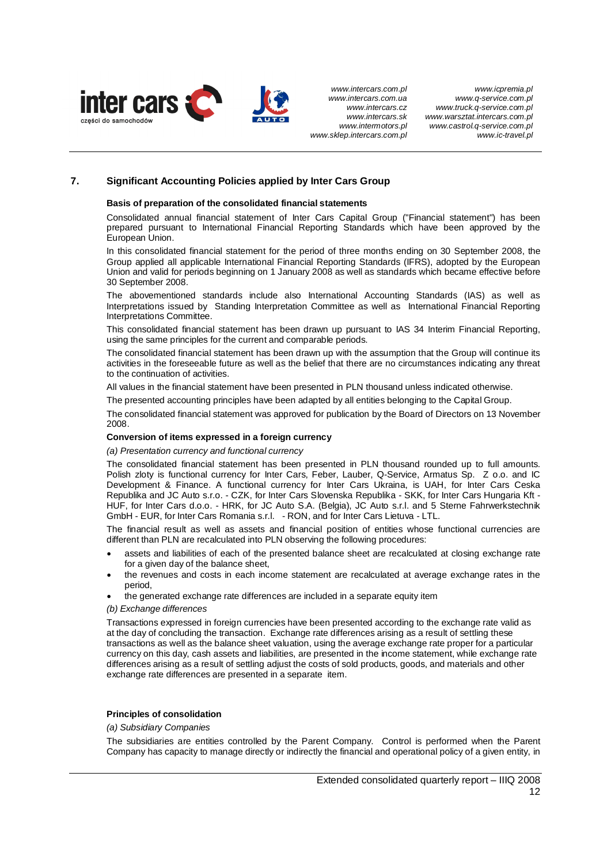

## **7. Significant Accounting Policies applied by Inter Cars Group**

#### **Basis of preparation of the consolidated financial statements**

Consolidated annual financial statement of Inter Cars Capital Group ("Financial statement") has been prepared pursuant to International Financial Reporting Standards which have been approved by the European Union.

In this consolidated financial statement for the period of three months ending on 30 September 2008, the Group applied all applicable International Financial Reporting Standards (IFRS), adopted by the European Union and valid for periods beginning on 1 January 2008 as well as standards which became effective before 30 September 2008.

The abovementioned standards include also International Accounting Standards (IAS) as well as Interpretations issued by Standing Interpretation Committee as well as International Financial Reporting Interpretations Committee.

This consolidated financial statement has been drawn up pursuant to IAS 34 Interim Financial Reporting, using the same principles for the current and comparable periods.

The consolidated financial statement has been drawn up with the assumption that the Group will continue its activities in the foreseeable future as well as the belief that there are no circumstances indicating any threat to the continuation of activities.

All values in the financial statement have been presented in PLN thousand unless indicated otherwise.

The presented accounting principles have been adapted by all entities belonging to the Capital Group.

The consolidated financial statement was approved for publication by the Board of Directors on 13 November 2008.

## **Conversion of items expressed in a foreign currency**

*(a) Presentation currency and functional currency* 

The consolidated financial statement has been presented in PLN thousand rounded up to full amounts. Polish zloty is functional currency for Inter Cars, Feber, Lauber, Q-Service, Armatus Sp. Z o.o. and IC Development & Finance. A functional currency for Inter Cars Ukraina, is UAH, for Inter Cars Ceska Republika and JC Auto s.r.o. - CZK, for Inter Cars Slovenska Republika - SKK, for Inter Cars Hungaria Kft - HUF, for Inter Cars d.o.o. - HRK, for JC Auto S.A. (Belgia), JC Auto s.r.l. and 5 Sterne Fahrwerkstechnik GmbH - EUR, for Inter Cars Romania s.r.l. - RON, and for Inter Cars Lietuva - LTL.

The financial result as well as assets and financial position of entities whose functional currencies are different than PLN are recalculated into PLN observing the following procedures:

- assets and liabilities of each of the presented balance sheet are recalculated at closing exchange rate for a given day of the balance sheet,
- the revenues and costs in each income statement are recalculated at average exchange rates in the period,
- the generated exchange rate differences are included in a separate equity item

#### *(b) Exchange differences*

Transactions expressed in foreign currencies have been presented according to the exchange rate valid as at the day of concluding the transaction. Exchange rate differences arising as a result of settling these transactions as well as the balance sheet valuation, using the average exchange rate proper for a particular currency on this day, cash assets and liabilities, are presented in the income statement, while exchange rate differences arising as a result of settling adjust the costs of sold products, goods, and materials and other exchange rate differences are presented in a separate item.

## **Principles of consolidation**

## *(a) Subsidiary Companies*

The subsidiaries are entities controlled by the Parent Company. Control is performed when the Parent Company has capacity to manage directly or indirectly the financial and operational policy of a given entity, in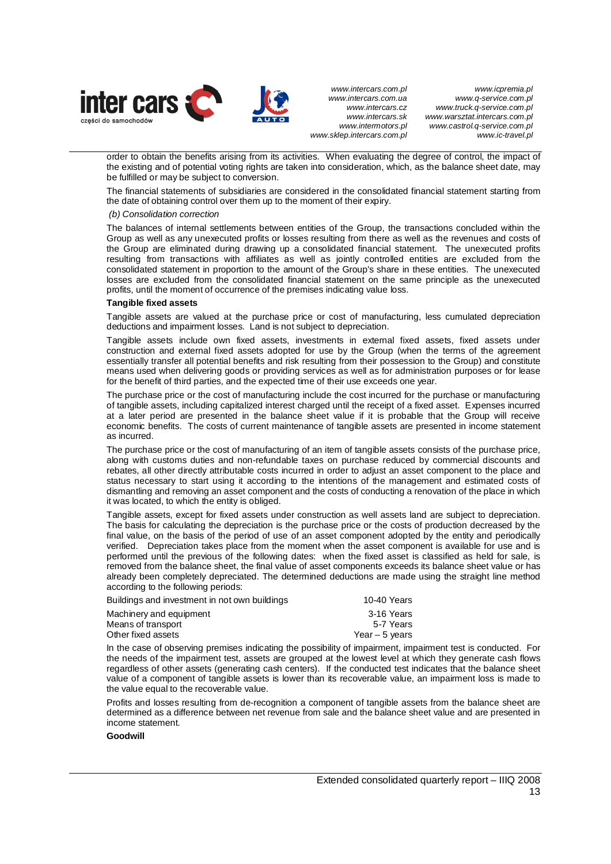

*www.icpremia.pl www.q-service.com.pl www.truck.q-service.com.pl www.warsztat.intercars.com.pl www.castrol.q-service.com.pl www.ic-travel.pl* 

order to obtain the benefits arising from its activities. When evaluating the degree of control, the impact of the existing and of potential voting rights are taken into consideration, which, as the balance sheet date, may be fulfilled or may be subject to conversion.

The financial statements of subsidiaries are considered in the consolidated financial statement starting from the date of obtaining control over them up to the moment of their expiry.

 *(b) Consolidation correction* 

The balances of internal settlements between entities of the Group, the transactions concluded within the Group as well as any unexecuted profits or losses resulting from there as well as the revenues and costs of the Group are eliminated during drawing up a consolidated financial statement. The unexecuted profits resulting from transactions with affiliates as well as jointly controlled entities are excluded from the consolidated statement in proportion to the amount of the Group's share in these entities. The unexecuted losses are excluded from the consolidated financial statement on the same principle as the unexecuted profits, until the moment of occurrence of the premises indicating value loss.

#### **Tangible fixed assets**

Tangible assets are valued at the purchase price or cost of manufacturing, less cumulated depreciation deductions and impairment losses. Land is not subject to depreciation.

Tangible assets include own fixed assets, investments in external fixed assets, fixed assets under construction and external fixed assets adopted for use by the Group (when the terms of the agreement essentially transfer all potential benefits and risk resulting from their possession to the Group) and constitute means used when delivering goods or providing services as well as for administration purposes or for lease for the benefit of third parties, and the expected time of their use exceeds one year.

The purchase price or the cost of manufacturing include the cost incurred for the purchase or manufacturing of tangible assets, including capitalized interest charged until the receipt of a fixed asset. Expenses incurred at a later period are presented in the balance sheet value if it is probable that the Group will receive economic benefits. The costs of current maintenance of tangible assets are presented in income statement as incurred.

The purchase price or the cost of manufacturing of an item of tangible assets consists of the purchase price, along with customs duties and non-refundable taxes on purchase reduced by commercial discounts and rebates, all other directly attributable costs incurred in order to adjust an asset component to the place and status necessary to start using it according to the intentions of the management and estimated costs of dismantling and removing an asset component and the costs of conducting a renovation of the place in which it was located, to which the entity is obliged.

Tangible assets, except for fixed assets under construction as well assets land are subject to depreciation. The basis for calculating the depreciation is the purchase price or the costs of production decreased by the final value, on the basis of the period of use of an asset component adopted by the entity and periodically verified. Depreciation takes place from the moment when the asset component is available for use and is performed until the previous of the following dates: when the fixed asset is classified as held for sale, is removed from the balance sheet, the final value of asset components exceeds its balance sheet value or has already been completely depreciated. The determined deductions are made using the straight line method according to the following periods:

| Buildings and investment in not own buildings | 10-40 Years     |
|-----------------------------------------------|-----------------|
| Machinery and equipment                       | 3-16 Years      |
| Means of transport                            | 5-7 Years       |
| Other fixed assets                            | Year $-5$ vears |

In the case of observing premises indicating the possibility of impairment, impairment test is conducted. For the needs of the impairment test, assets are grouped at the lowest level at which they generate cash flows regardless of other assets (generating cash centers). If the conducted test indicates that the balance sheet value of a component of tangible assets is lower than its recoverable value, an impairment loss is made to the value equal to the recoverable value.

Profits and losses resulting from de-recognition a component of tangible assets from the balance sheet are determined as a difference between net revenue from sale and the balance sheet value and are presented in income statement.

**Goodwill**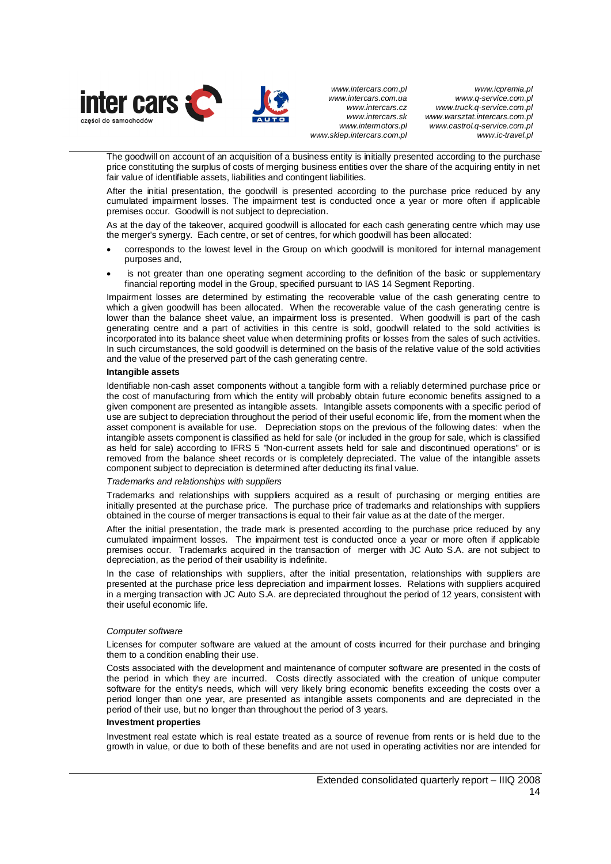

*www.icpremia.pl www.q-service.com.pl www.truck.q-service.com.pl www.warsztat.intercars.com.pl www.castrol.q-service.com.pl www.ic-travel.pl* 

The goodwill on account of an acquisition of a business entity is initially presented according to the purchase price constituting the surplus of costs of merging business entities over the share of the acquiring entity in net fair value of identifiable assets, liabilities and contingent liabilities.

After the initial presentation, the goodwill is presented according to the purchase price reduced by any cumulated impairment losses. The impairment test is conducted once a year or more often if applicable premises occur. Goodwill is not subject to depreciation.

As at the day of the takeover, acquired goodwill is allocated for each cash generating centre which may use the merger's synergy. Each centre, or set of centres, for which goodwill has been allocated:

- corresponds to the lowest level in the Group on which goodwill is monitored for internal management purposes and,
- is not greater than one operating segment according to the definition of the basic or supplementary financial reporting model in the Group, specified pursuant to IAS 14 Segment Reporting.

Impairment losses are determined by estimating the recoverable value of the cash generating centre to which a given goodwill has been allocated. When the recoverable value of the cash generating centre is lower than the balance sheet value, an impairment loss is presented. When goodwill is part of the cash generating centre and a part of activities in this centre is sold, goodwill related to the sold activities is incorporated into its balance sheet value when determining profits or losses from the sales of such activities. In such circumstances, the sold goodwill is determined on the basis of the relative value of the sold activities and the value of the preserved part of the cash generating centre.

#### **Intangible assets**

Identifiable non-cash asset components without a tangible form with a reliably determined purchase price or the cost of manufacturing from which the entity will probably obtain future economic benefits assigned to a given component are presented as intangible assets. Intangible assets components with a specific period of use are subject to depreciation throughout the period of their useful economic life, from the moment when the asset component is available for use. Depreciation stops on the previous of the following dates: when the intangible assets component is classified as held for sale (or included in the group for sale, which is classified as held for sale) according to IFRS 5 "Non-current assets held for sale and discontinued operations" or is removed from the balance sheet records or is completely depreciated. The value of the intangible assets component subject to depreciation is determined after deducting its final value.

#### *Trademarks and relationships with suppliers*

Trademarks and relationships with suppliers acquired as a result of purchasing or merging entities are initially presented at the purchase price. The purchase price of trademarks and relationships with suppliers obtained in the course of merger transactions is equal to their fair value as at the date of the merger.

After the initial presentation, the trade mark is presented according to the purchase price reduced by any cumulated impairment losses. The impairment test is conducted once a year or more often if applicable premises occur. Trademarks acquired in the transaction of merger with JC Auto S.A. are not subject to depreciation, as the period of their usability is indefinite.

In the case of relationships with suppliers, after the initial presentation, relationships with suppliers are presented at the purchase price less depreciation and impairment losses. Relations with suppliers acquired in a merging transaction with JC Auto S.A. are depreciated throughout the period of 12 years, consistent with their useful economic life.

## *Computer software*

Licenses for computer software are valued at the amount of costs incurred for their purchase and bringing them to a condition enabling their use.

Costs associated with the development and maintenance of computer software are presented in the costs of the period in which they are incurred. Costs directly associated with the creation of unique computer software for the entity's needs, which will very likely bring economic benefits exceeding the costs over a period longer than one year, are presented as intangible assets components and are depreciated in the period of their use, but no longer than throughout the period of 3 years.

#### **Investment properties**

Investment real estate which is real estate treated as a source of revenue from rents or is held due to the growth in value, or due to both of these benefits and are not used in operating activities nor are intended for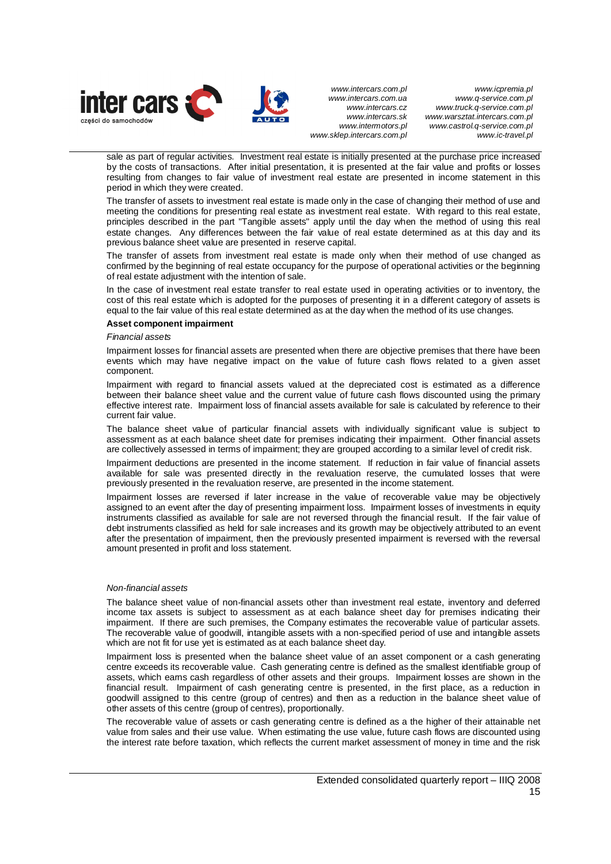

*www.icpremia.pl www.q-service.com.pl www.truck.q-service.com.pl www.warsztat.intercars.com.pl www.castrol.q-service.com.pl www.ic-travel.pl* 

sale as part of regular activities. Investment real estate is initially presented at the purchase price increased by the costs of transactions. After initial presentation, it is presented at the fair value and profits or losses resulting from changes to fair value of investment real estate are presented in income statement in this period in which they were created.

The transfer of assets to investment real estate is made only in the case of changing their method of use and meeting the conditions for presenting real estate as investment real estate. With regard to this real estate, principles described in the part "Tangible assets" apply until the day when the method of using this real estate changes. Any differences between the fair value of real estate determined as at this day and its previous balance sheet value are presented in reserve capital.

The transfer of assets from investment real estate is made only when their method of use changed as confirmed by the beginning of real estate occupancy for the purpose of operational activities or the beginning of real estate adjustment with the intention of sale.

In the case of investment real estate transfer to real estate used in operating activities or to inventory, the cost of this real estate which is adopted for the purposes of presenting it in a different category of assets is equal to the fair value of this real estate determined as at the day when the method of its use changes.

#### **Asset component impairment**

#### *Financial assets*

Impairment losses for financial assets are presented when there are objective premises that there have been events which may have negative impact on the value of future cash flows related to a given asset component.

Impairment with regard to financial assets valued at the depreciated cost is estimated as a difference between their balance sheet value and the current value of future cash flows discounted using the primary effective interest rate. Impairment loss of financial assets available for sale is calculated by reference to their current fair value.

The balance sheet value of particular financial assets with individually significant value is subject to assessment as at each balance sheet date for premises indicating their impairment. Other financial assets are collectively assessed in terms of impairment; they are grouped according to a similar level of credit risk.

Impairment deductions are presented in the income statement. If reduction in fair value of financial assets available for sale was presented directly in the revaluation reserve, the cumulated losses that were previously presented in the revaluation reserve, are presented in the income statement.

Impairment losses are reversed if later increase in the value of recoverable value may be objectively assigned to an event after the day of presenting impairment loss. Impairment losses of investments in equity instruments classified as available for sale are not reversed through the financial result. If the fair value of debt instruments classified as held for sale increases and its growth may be objectively attributed to an event after the presentation of impairment, then the previously presented impairment is reversed with the reversal amount presented in profit and loss statement.

## *Non-financial assets*

The balance sheet value of non-financial assets other than investment real estate, inventory and deferred income tax assets is subject to assessment as at each balance sheet day for premises indicating their impairment. If there are such premises, the Company estimates the recoverable value of particular assets. The recoverable value of goodwill, intangible assets with a non-specified period of use and intangible assets which are not fit for use yet is estimated as at each balance sheet day.

Impairment loss is presented when the balance sheet value of an asset component or a cash generating centre exceeds its recoverable value. Cash generating centre is defined as the smallest identifiable group of assets, which earns cash regardless of other assets and their groups. Impairment losses are shown in the financial result. Impairment of cash generating centre is presented, in the first place, as a reduction in goodwill assigned to this centre (group of centres) and then as a reduction in the balance sheet value of other assets of this centre (group of centres), proportionally.

The recoverable value of assets or cash generating centre is defined as a the higher of their attainable net value from sales and their use value. When estimating the use value, future cash flows are discounted using the interest rate before taxation, which reflects the current market assessment of money in time and the risk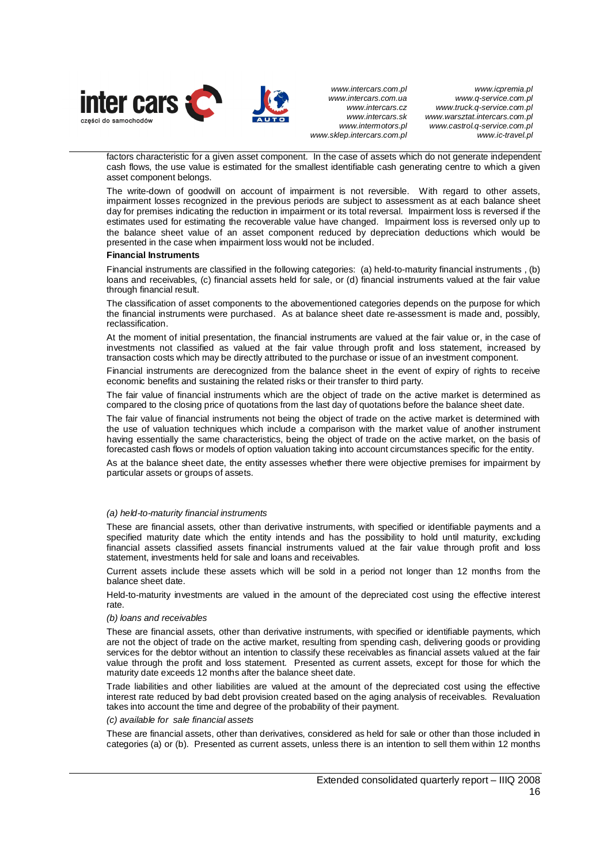

*www.icpremia.pl www.q-service.com.pl www.truck.q-service.com.pl www.warsztat.intercars.com.pl www.castrol.q-service.com.pl www.ic-travel.pl* 

factors characteristic for a given asset component. In the case of assets which do not generate independent cash flows, the use value is estimated for the smallest identifiable cash generating centre to which a given asset component belongs.

The write-down of goodwill on account of impairment is not reversible. With regard to other assets, impairment losses recognized in the previous periods are subject to assessment as at each balance sheet day for premises indicating the reduction in impairment or its total reversal. Impairment loss is reversed if the estimates used for estimating the recoverable value have changed. Impairment loss is reversed only up to the balance sheet value of an asset component reduced by depreciation deductions which would be presented in the case when impairment loss would not be included.

#### **Financial Instruments**

Financial instruments are classified in the following categories: (a) held-to-maturity financial instruments , (b) loans and receivables, (c) financial assets held for sale, or (d) financial instruments valued at the fair value through financial result.

The classification of asset components to the abovementioned categories depends on the purpose for which the financial instruments were purchased. As at balance sheet date re-assessment is made and, possibly, reclassification.

At the moment of initial presentation, the financial instruments are valued at the fair value or, in the case of investments not classified as valued at the fair value through profit and loss statement, increased by transaction costs which may be directly attributed to the purchase or issue of an investment component.

Financial instruments are derecognized from the balance sheet in the event of expiry of rights to receive economic benefits and sustaining the related risks or their transfer to third party.

The fair value of financial instruments which are the object of trade on the active market is determined as compared to the closing price of quotations from the last day of quotations before the balance sheet date.

The fair value of financial instruments not being the object of trade on the active market is determined with the use of valuation techniques which include a comparison with the market value of another instrument having essentially the same characteristics, being the object of trade on the active market, on the basis of forecasted cash flows or models of option valuation taking into account circumstances specific for the entity.

As at the balance sheet date, the entity assesses whether there were objective premises for impairment by particular assets or groups of assets.

## *(a) held-to-maturity financial instruments*

These are financial assets, other than derivative instruments, with specified or identifiable payments and a specified maturity date which the entity intends and has the possibility to hold until maturity, excluding financial assets classified assets financial instruments valued at the fair value through profit and loss statement, investments held for sale and loans and receivables.

Current assets include these assets which will be sold in a period not longer than 12 months from the balance sheet date.

Held-to-maturity investments are valued in the amount of the depreciated cost using the effective interest rate.

#### *(b) loans and receivables*

These are financial assets, other than derivative instruments, with specified or identifiable payments, which are not the object of trade on the active market, resulting from spending cash, delivering goods or providing services for the debtor without an intention to classify these receivables as financial assets valued at the fair value through the profit and loss statement. Presented as current assets, except for those for which the maturity date exceeds 12 months after the balance sheet date.

Trade liabilities and other liabilities are valued at the amount of the depreciated cost using the effective interest rate reduced by bad debt provision created based on the aging analysis of receivables. Revaluation takes into account the time and degree of the probability of their payment.

#### *(c) available for sale financial assets*

These are financial assets, other than derivatives, considered as held for sale or other than those included in categories (a) or (b). Presented as current assets, unless there is an intention to sell them within 12 months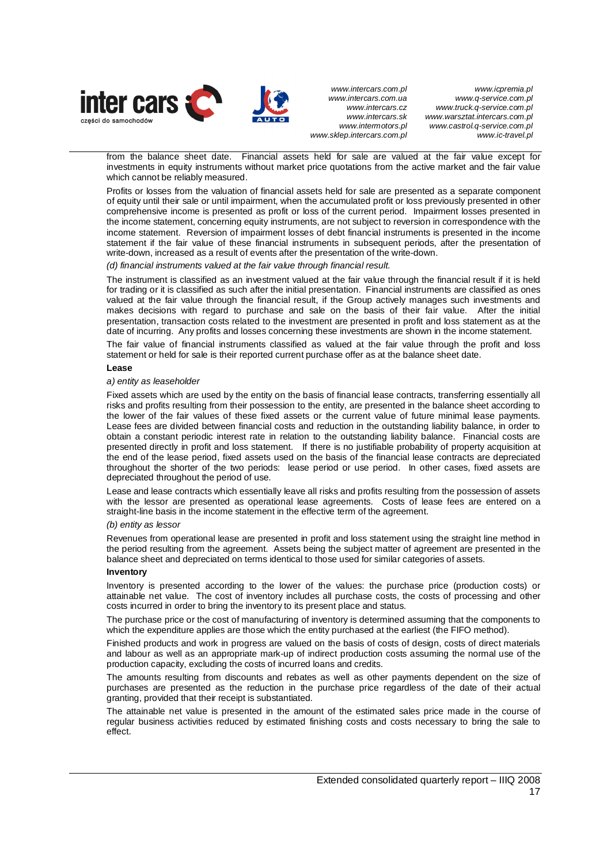

*www.icpremia.pl www.q-service.com.pl www.truck.q-service.com.pl www.warsztat.intercars.com.pl www.castrol.q-service.com.pl www.ic-travel.pl* 

from the balance sheet date. Financial assets held for sale are valued at the fair value except for investments in equity instruments without market price quotations from the active market and the fair value which cannot be reliably measured.

Profits or losses from the valuation of financial assets held for sale are presented as a separate component of equity until their sale or until impairment, when the accumulated profit or loss previously presented in other comprehensive income is presented as profit or loss of the current period. Impairment losses presented in the income statement, concerning equity instruments, are not subject to reversion in correspondence with the income statement. Reversion of impairment losses of debt financial instruments is presented in the income statement if the fair value of these financial instruments in subsequent periods, after the presentation of write-down, increased as a result of events after the presentation of the write-down.

#### *(d) financial instruments valued at the fair value through financial result.*

The instrument is classified as an investment valued at the fair value through the financial result if it is held for trading or it is classified as such after the initial presentation. Financial instruments are classified as ones valued at the fair value through the financial result, if the Group actively manages such investments and makes decisions with regard to purchase and sale on the basis of their fair value. After the initial presentation, transaction costs related to the investment are presented in profit and loss statement as at the date of incurring. Any profits and losses concerning these investments are shown in the income statement.

The fair value of financial instruments classified as valued at the fair value through the profit and loss statement or held for sale is their reported current purchase offer as at the balance sheet date.

#### **Lease**

#### *a) entity as leaseholder*

Fixed assets which are used by the entity on the basis of financial lease contracts, transferring essentially all risks and profits resulting from their possession to the entity, are presented in the balance sheet according to the lower of the fair values of these fixed assets or the current value of future minimal lease payments. Lease fees are divided between financial costs and reduction in the outstanding liability balance, in order to obtain a constant periodic interest rate in relation to the outstanding liability balance. Financial costs are presented directly in profit and loss statement. If there is no justifiable probability of property acquisition at the end of the lease period, fixed assets used on the basis of the financial lease contracts are depreciated throughout the shorter of the two periods: lease period or use period. In other cases, fixed assets are depreciated throughout the period of use.

Lease and lease contracts which essentially leave all risks and profits resulting from the possession of assets with the lessor are presented as operational lease agreements. Costs of lease fees are entered on a straight-line basis in the income statement in the effective term of the agreement.

#### *(b) entity as lessor*

Revenues from operational lease are presented in profit and loss statement using the straight line method in the period resulting from the agreement. Assets being the subject matter of agreement are presented in the balance sheet and depreciated on terms identical to those used for similar categories of assets.

#### **Inventory**

Inventory is presented according to the lower of the values: the purchase price (production costs) or attainable net value. The cost of inventory includes all purchase costs, the costs of processing and other costs incurred in order to bring the inventory to its present place and status.

The purchase price or the cost of manufacturing of inventory is determined assuming that the components to which the expenditure applies are those which the entity purchased at the earliest (the FIFO method).

Finished products and work in progress are valued on the basis of costs of design, costs of direct materials and labour as well as an appropriate mark-up of indirect production costs assuming the normal use of the production capacity, excluding the costs of incurred loans and credits.

The amounts resulting from discounts and rebates as well as other payments dependent on the size of purchases are presented as the reduction in the purchase price regardless of the date of their actual granting, provided that their receipt is substantiated.

The attainable net value is presented in the amount of the estimated sales price made in the course of regular business activities reduced by estimated finishing costs and costs necessary to bring the sale to effect.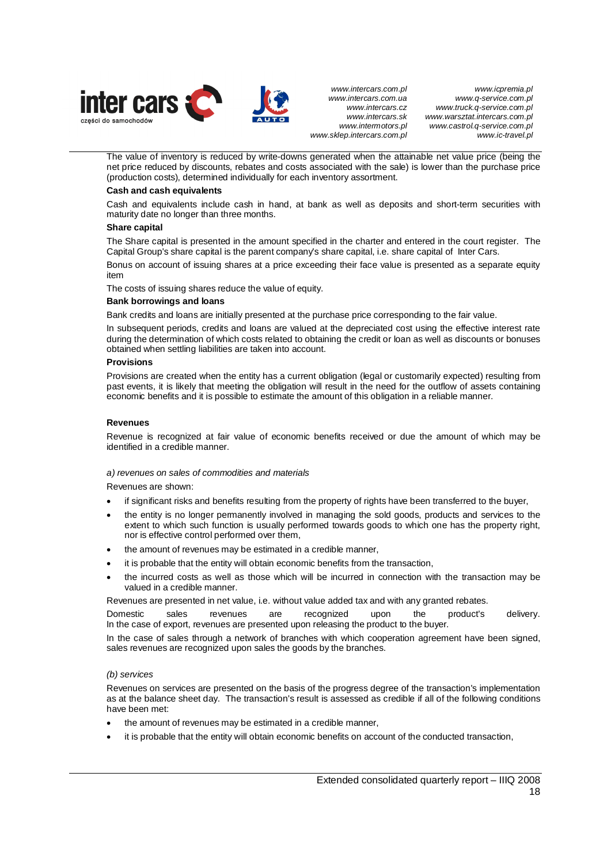

*www.icpremia.pl www.q-service.com.pl www.truck.q-service.com.pl www.warsztat.intercars.com.pl www.castrol.q-service.com.pl www.ic-travel.pl* 

The value of inventory is reduced by write-downs generated when the attainable net value price (being the net price reduced by discounts, rebates and costs associated with the sale) is lower than the purchase price (production costs), determined individually for each inventory assortment.

#### **Cash and cash equivalents**

Cash and equivalents include cash in hand, at bank as well as deposits and short-term securities with maturity date no longer than three months.

#### **Share capital**

The Share capital is presented in the amount specified in the charter and entered in the court register. The Capital Group's share capital is the parent company's share capital, i.e. share capital of Inter Cars.

Bonus on account of issuing shares at a price exceeding their face value is presented as a separate equity item

The costs of issuing shares reduce the value of equity.

#### **Bank borrowings and loans**

Bank credits and loans are initially presented at the purchase price corresponding to the fair value.

In subsequent periods, credits and loans are valued at the depreciated cost using the effective interest rate during the determination of which costs related to obtaining the credit or loan as well as discounts or bonuses obtained when settling liabilities are taken into account.

#### **Provisions**

Provisions are created when the entity has a current obligation (legal or customarily expected) resulting from past events, it is likely that meeting the obligation will result in the need for the outflow of assets containing economic benefits and it is possible to estimate the amount of this obligation in a reliable manner.

#### **Revenues**

Revenue is recognized at fair value of economic benefits received or due the amount of which may be identified in a credible manner.

## *a) revenues on sales of commodities and materials*

Revenues are shown:

- if significant risks and benefits resulting from the property of rights have been transferred to the buyer,
- the entity is no longer permanently involved in managing the sold goods, products and services to the extent to which such function is usually performed towards goods to which one has the property right, nor is effective control performed over them,
- the amount of revenues may be estimated in a credible manner.
- it is probable that the entity will obtain economic benefits from the transaction,
- the incurred costs as well as those which will be incurred in connection with the transaction may be valued in a credible manner.

Revenues are presented in net value, i.e. without value added tax and with any granted rebates.

Domestic sales revenues are recognized upon the product's delivery. In the case of export, revenues are presented upon releasing the product to the buyer.

In the case of sales through a network of branches with which cooperation agreement have been signed, sales revenues are recognized upon sales the goods by the branches.

## *(b) services*

Revenues on services are presented on the basis of the progress degree of the transaction's implementation as at the balance sheet day. The transaction's result is assessed as credible if all of the following conditions have been met:

- the amount of revenues may be estimated in a credible manner,
- it is probable that the entity will obtain economic benefits on account of the conducted transaction,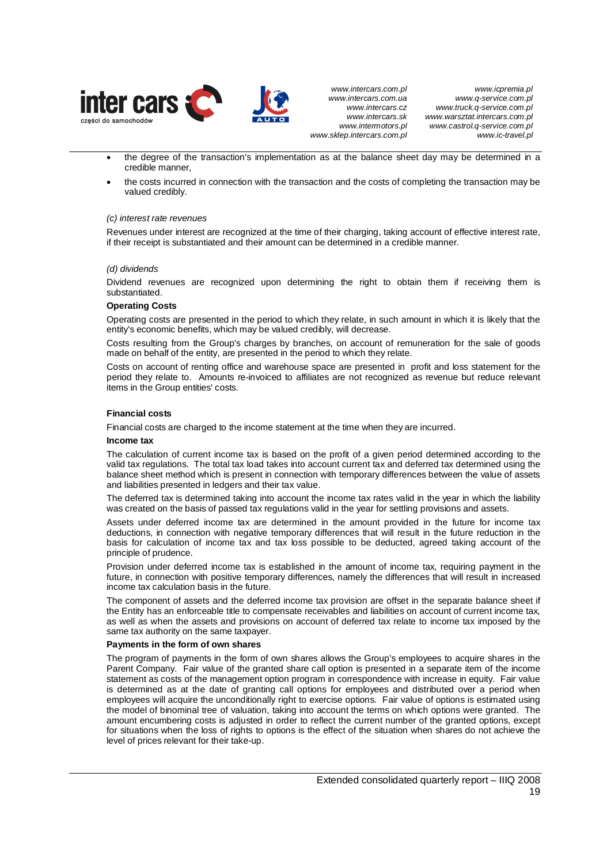

- the degree of the transaction's implementation as at the balance sheet day may be determined in a credible manner,
- the costs incurred in connection with the transaction and the costs of completing the transaction may be valued credibly.

## *(c) interest rate revenues*

Revenues under interest are recognized at the time of their charging, taking account of effective interest rate, if their receipt is substantiated and their amount can be determined in a credible manner.

#### *(d) dividends*

Dividend revenues are recognized upon determining the right to obtain them if receiving them is substantiated.

#### **Operating Costs**

Operating costs are presented in the period to which they relate, in such amount in which it is likely that the entity's economic benefits, which may be valued credibly, will decrease.

Costs resulting from the Group's charges by branches, on account of remuneration for the sale of goods made on behalf of the entity, are presented in the period to which they relate.

Costs on account of renting office and warehouse space are presented in profit and loss statement for the period they relate to. Amounts re-invoiced to affiliates are not recognized as revenue but reduce relevant items in the Group entities' costs.

#### **Financial costs**

Financial costs are charged to the income statement at the time when they are incurred.

#### **Income tax**

The calculation of current income tax is based on the profit of a given period determined according to the valid tax regulations. The total tax load takes into account current tax and deferred tax determined using the balance sheet method which is present in connection with temporary differences between the value of assets and liabilities presented in ledgers and their tax value.

The deferred tax is determined taking into account the income tax rates valid in the year in which the liability was created on the basis of passed tax regulations valid in the year for settling provisions and assets.

Assets under deferred income tax are determined in the amount provided in the future for income tax deductions, in connection with negative temporary differences that will result in the future reduction in the basis for calculation of income tax and tax loss possible to be deducted, agreed taking account of the principle of prudence.

Provision under deferred income tax is established in the amount of income tax, requiring payment in the future, in connection with positive temporary differences, namely the differences that will result in increased income tax calculation basis in the future.

The component of assets and the deferred income tax provision are offset in the separate balance sheet if the Entity has an enforceable title to compensate receivables and liabilities on account of current income tax, as well as when the assets and provisions on account of deferred tax relate to income tax imposed by the same tax authority on the same taxpayer.

#### **Payments in the form of own shares**

The program of payments in the form of own shares allows the Group's employees to acquire shares in the Parent Company. Fair value of the granted share call option is presented in a separate item of the income statement as costs of the management option program in correspondence with increase in equity. Fair value is determined as at the date of granting call options for employees and distributed over a period when employees will acquire the unconditionally right to exercise options. Fair value of options is estimated using the model of binominal tree of valuation, taking into account the terms on which options were granted. The amount encumbering costs is adjusted in order to reflect the current number of the granted options, except for situations when the loss of rights to options is the effect of the situation when shares do not achieve the level of prices relevant for their take-up.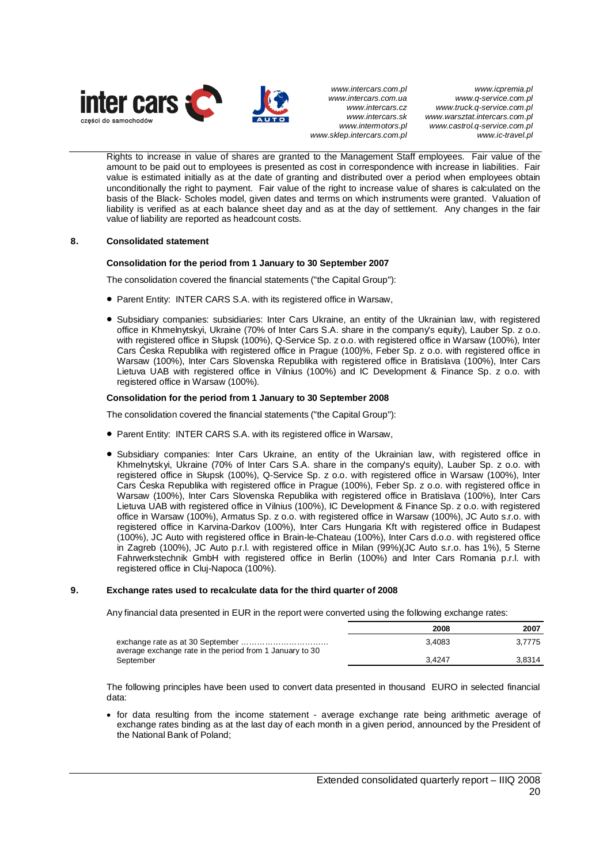

*www.icpremia.pl www.q-service.com.pl www.truck.q-service.com.pl www.warsztat.intercars.com.pl www.castrol.q-service.com.pl www.ic-travel.pl* 

Rights to increase in value of shares are granted to the Management Staff employees. Fair value of the amount to be paid out to employees is presented as cost in correspondence with increase in liabilities. Fair value is estimated initially as at the date of granting and distributed over a period when employees obtain unconditionally the right to payment. Fair value of the right to increase value of shares is calculated on the basis of the Black- Scholes model, given dates and terms on which instruments were granted. Valuation of liability is verified as at each balance sheet day and as at the day of settlement. Any changes in the fair value of liability are reported as headcount costs.

## **8. Consolidated statement**

## **Consolidation for the period from 1 January to 30 September 2007**

The consolidation covered the financial statements ("the Capital Group"):

- Parent Entity: INTER CARS S.A. with its registered office in Warsaw,
- Subsidiary companies: subsidiaries: Inter Cars Ukraine, an entity of the Ukrainian law, with registered office in Khmelnytskyi, Ukraine (70% of Inter Cars S.A. share in the company's equity), Lauber Sp. z o.o. with registered office in Słupsk (100%), Q-Service Sp. z o.o. with registered office in Warsaw (100%), Inter Cars Ćeska Republika with registered office in Prague (100)%, Feber Sp. z o.o. with registered office in Warsaw (100%), Inter Cars Slovenska Republika with registered office in Bratislava (100%), Inter Cars Lietuva UAB with registered office in Vilnius (100%) and IC Development & Finance Sp. z o.o. with registered office in Warsaw (100%).

## **Consolidation for the period from 1 January to 30 September 2008**

The consolidation covered the financial statements ("the Capital Group"):

- Parent Entity: INTER CARS S.A. with its registered office in Warsaw,
- Subsidiary companies: Inter Cars Ukraine, an entity of the Ukrainian law, with registered office in Khmelnytskyi, Ukraine (70% of Inter Cars S.A. share in the company's equity), Lauber Sp. z o.o. with registered office in Słupsk (100%), Q-Service Sp. z o.o. with registered office in Warsaw (100%), Inter Cars Ćeska Republika with registered office in Prague (100%), Feber Sp. z o.o. with registered office in Warsaw (100%), Inter Cars Slovenska Republika with registered office in Bratislava (100%), Inter Cars Lietuva UAB with registered office in Vilnius (100%), IC Development & Finance Sp. z o.o. with registered office in Warsaw (100%), Armatus Sp. z o.o. with registered office in Warsaw (100%), JC Auto s.r.o. with registered office in Karvina-Darkov (100%), Inter Cars Hungaria Kft with registered office in Budapest (100%), JC Auto with registered office in Brain-le-Chateau (100%), Inter Cars d.o.o. with registered office in Zagreb (100%), JC Auto p.r.l. with registered office in Milan (99%)(JC Auto s.r.o. has 1%), 5 Sterne Fahrwerkstechnik GmbH with registered office in Berlin (100%) and Inter Cars Romania p.r.l. with registered office in Cluj-Napoca (100%).

## **9. Exchange rates used to recalculate data for the third quarter of 2008**

Any financial data presented in EUR in the report were converted using the following exchange rates:

|                                                          | 2008   | 2007   |
|----------------------------------------------------------|--------|--------|
| average exchange rate in the period from 1 January to 30 | 3.4083 | 3.7775 |
| September                                                | 3.4247 | 3.8314 |

The following principles have been used to convert data presented in thousand EURO in selected financial data:

• for data resulting from the income statement - average exchange rate being arithmetic average of exchange rates binding as at the last day of each month in a given period, announced by the President of the National Bank of Poland;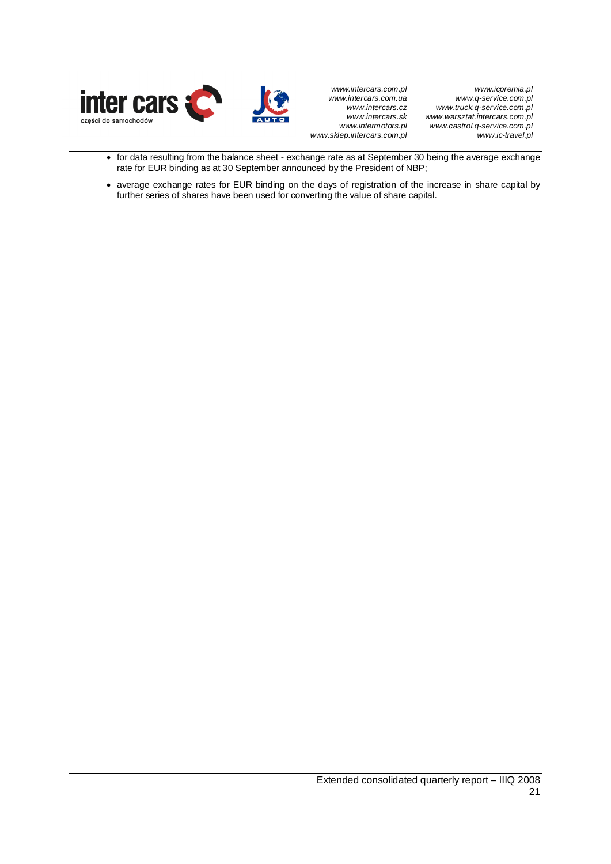

*www.icpremia.pl www.q-service.com.pl www.truck.q-service.com.pl www.warsztat.intercars.com.pl www.castrol.q-service.com.pl www.ic-travel.pl* 

- for data resulting from the balance sheet exchange rate as at September 30 being the average exchange rate for EUR binding as at 30 September announced by the President of NBP;
- average exchange rates for EUR binding on the days of registration of the increase in share capital by further series of shares have been used for converting the value of share capital.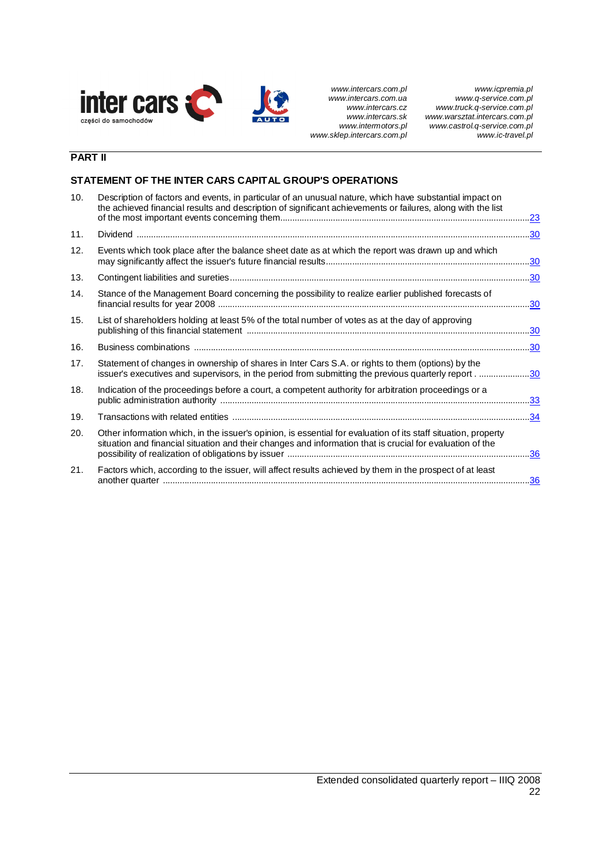

*www.icpremia.pl www.q-service.com.pl www.truck.q-service.com.pl www.warsztat.intercars.com.pl www.castrol.q-service.com.pl www.ic-travel.pl* 

# **PART II**

## **STATEMENT OF THE INTER CARS CAPITAL GROUP'S OPERATIONS**

| 10. | Description of factors and events, in particular of an unusual nature, which have substantial impact on<br>the achieved financial results and description of significant achievements or failures, along with the list      |            |
|-----|-----------------------------------------------------------------------------------------------------------------------------------------------------------------------------------------------------------------------------|------------|
| 11. |                                                                                                                                                                                                                             |            |
| 12. | Events which took place after the balance sheet date as at which the report was drawn up and which                                                                                                                          | <u>.30</u> |
| 13. |                                                                                                                                                                                                                             | .30        |
| 14. | Stance of the Management Board concerning the possibility to realize earlier published forecasts of                                                                                                                         |            |
| 15. | List of shareholders holding at least 5% of the total number of votes as at the day of approving                                                                                                                            |            |
| 16. |                                                                                                                                                                                                                             |            |
| 17. | Statement of changes in ownership of shares in Inter Cars S.A. or rights to them (options) by the<br>issuer's executives and supervisors, in the period from submitting the previous quarterly report30                     |            |
| 18. | Indication of the proceedings before a court, a competent authority for arbitration proceedings or a                                                                                                                        |            |
| 19. |                                                                                                                                                                                                                             |            |
| 20. | Other information which, in the issuer's opinion, is essential for evaluation of its staff situation, property<br>situation and financial situation and their changes and information that is crucial for evaluation of the |            |
| 21. | Factors which, according to the issuer, will affect results achieved by them in the prospect of at least                                                                                                                    | .36        |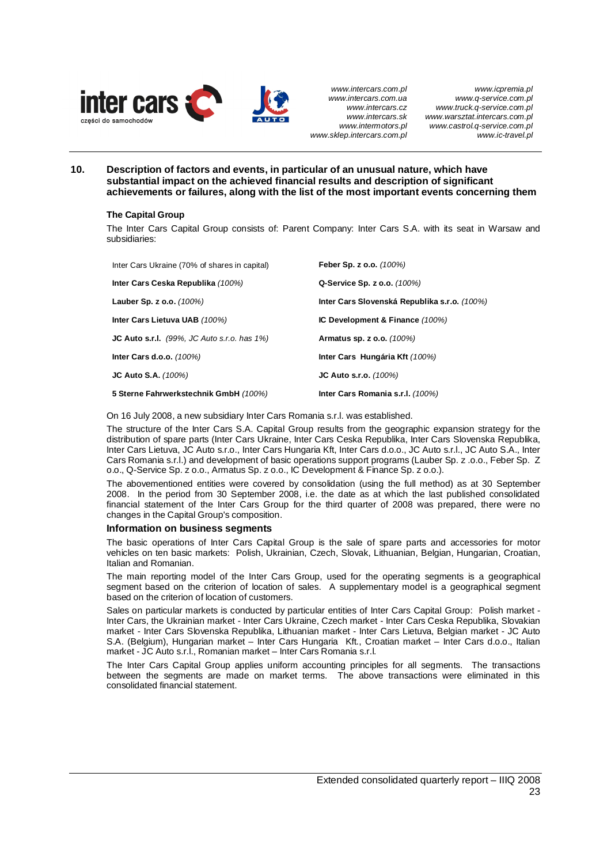

*www.icpremia.pl www.q-service.com.pl www.truck.q-service.com.pl www.warsztat.intercars.com.pl www.castrol.q-service.com.pl www.ic-travel.pl* 

**10. Description of factors and events, in particular of an unusual nature, which have substantial impact on the achieved financial results and description of significant achievements or failures, along with the list of the most important events concerning them** 

## **The Capital Group**

The Inter Cars Capital Group consists of: Parent Company: Inter Cars S.A. with its seat in Warsaw and subsidiaries:

| Inter Cars Ukraine (70% of shares in capital)            | Feber Sp. z o.o. (100%)                      |
|----------------------------------------------------------|----------------------------------------------|
| Inter Cars Ceska Republika (100%)                        | Q-Service Sp. z o.o. (100%)                  |
| Lauber Sp. z o.o. $(100%)$                               | Inter Cars Slovenská Republika s.r.o. (100%) |
| Inter Cars Lietuva UAB (100%)                            | IC Development & Finance (100%)              |
| <b>JC Auto s.r.l.</b> $(99\%$ , JC Auto s.r.o. has $1\%$ | Armatus sp. z o.o. (100%)                    |
| <b>Inter Cars d.o.o.</b> (100%)                          | Inter Cars Hungária Kft (100%)               |
| <b>JC Auto S.A.</b> (100%)                               | $JC$ Auto s.r.o. $(100%)$                    |
| 5 Sterne Fahrwerkstechnik GmbH (100%)                    | Inter Cars Romania s.r.l. (100%)             |

On 16 July 2008, a new subsidiary Inter Cars Romania s.r.l. was established.

The structure of the Inter Cars S.A. Capital Group results from the geographic expansion strategy for the distribution of spare parts (Inter Cars Ukraine, Inter Cars Ceska Republika, Inter Cars Slovenska Republika, Inter Cars Lietuva, JC Auto s.r.o., Inter Cars Hungaria Kft, Inter Cars d.o.o., JC Auto s.r.l., JC Auto S.A., Inter Cars Romania s.r.l.) and development of basic operations support programs (Lauber Sp. z .o.o., Feber Sp. Z o.o., Q-Service Sp. z o.o., Armatus Sp. z o.o., IC Development & Finance Sp. z o.o.).

The abovementioned entities were covered by consolidation (using the full method) as at 30 September 2008. In the period from 30 September 2008, i.e. the date as at which the last published consolidated financial statement of the Inter Cars Group for the third quarter of 2008 was prepared, there were no changes in the Capital Group's composition.

## **Information on business segments**

The basic operations of Inter Cars Capital Group is the sale of spare parts and accessories for motor vehicles on ten basic markets: Polish, Ukrainian, Czech, Slovak, Lithuanian, Belgian, Hungarian, Croatian, Italian and Romanian.

The main reporting model of the Inter Cars Group, used for the operating segments is a geographical segment based on the criterion of location of sales. A supplementary model is a geographical segment based on the criterion of location of customers.

Sales on particular markets is conducted by particular entities of Inter Cars Capital Group: Polish market - Inter Cars, the Ukrainian market - Inter Cars Ukraine, Czech market - Inter Cars Ceska Republika, Slovakian market - Inter Cars Slovenska Republika, Lithuanian market - Inter Cars Lietuva, Belgian market - JC Auto S.A. (Belgium), Hungarian market – Inter Cars Hungaria Kft., Croatian market – Inter Cars d.o.o., Italian market - JC Auto s.r.l., Romanian market – Inter Cars Romania s.r.l.

The Inter Cars Capital Group applies uniform accounting principles for all segments. The transactions between the segments are made on market terms. The above transactions were eliminated in this consolidated financial statement.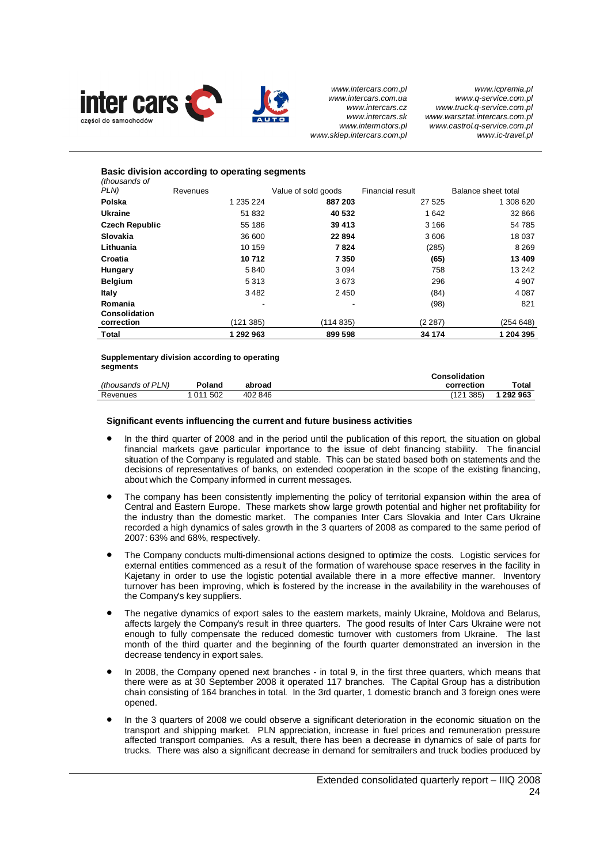

## **Basic division according to operating segments** *(thousands of*  **PLAN) Revenues PLN Value of sold goods Financial result Balance sheet total Polska** 1 235 224 **887 203** 27 525 1 308 620 **Ukraine** 51 832 **40 532** 1 642 32 866 **Czech Republic** 55 186 **39 413** 3 166 54 785 **Slovakia** 36 600 **22 894** 3 606 18 037 **Lithuania** 10 159 **7 824** (285) 8 269 **Croatia 10 712 7 350 (65) 13 409 Hungary 58 13 242 13 242 13 242 13 242 13 242 14 258 13 242 14 258 158 242 14 258 158 242 158 242 158 242 158 242 158 258 158 258 158 258 158 258 158 258 158 258 258 158 258 158 258 258 158 258 158 258 258 258 258 258 258 Belgium** 5 313 3 673 296 4 907 **Italy** 3482 2450 (84) 4087 **Romania** - - (98) 821 **Consolidation correction** (121 385) (114 835) (2 287) (254 648) **Total 1 292 963 899 598 34 174 1 204 395**

#### **Supplementary division according to operating segments**

|                    |         |         | Consolidation |         |
|--------------------|---------|---------|---------------|---------|
| (thousands of PLN) | Poland  | abroad  | correction    | Total   |
| Revenues           | 011 502 | 402 846 | (121 385)     | 292 963 |

## **Significant events influencing the current and future business activities**

- In the third quarter of 2008 and in the period until the publication of this report, the situation on global financial markets gave particular importance to the issue of debt financing stability. The financial situation of the Company is regulated and stable. This can be stated based both on statements and the decisions of representatives of banks, on extended cooperation in the scope of the existing financing, about which the Company informed in current messages.
- The company has been consistently implementing the policy of territorial expansion within the area of Central and Eastern Europe. These markets show large growth potential and higher net profitability for the industry than the domestic market. The companies Inter Cars Slovakia and Inter Cars Ukraine recorded a high dynamics of sales growth in the 3 quarters of 2008 as compared to the same period of 2007: 63% and 68%, respectively.
- The Company conducts multi-dimensional actions designed to optimize the costs. Logistic services for external entities commenced as a result of the formation of warehouse space reserves in the facility in Kajetany in order to use the logistic potential available there in a more effective manner. Inventory turnover has been improving, which is fostered by the increase in the availability in the warehouses of the Company's key suppliers.
- The negative dynamics of export sales to the eastern markets, mainly Ukraine, Moldova and Belarus, affects largely the Company's result in three quarters. The good results of Inter Cars Ukraine were not enough to fully compensate the reduced domestic turnover with customers from Ukraine. The last month of the third quarter and the beginning of the fourth quarter demonstrated an inversion in the decrease tendency in export sales.
- In 2008, the Company opened next branches in total 9, in the first three quarters, which means that there were as at 30 September 2008 it operated 117 branches. The Capital Group has a distribution chain consisting of 164 branches in total. In the 3rd quarter, 1 domestic branch and 3 foreign ones were opened.
- In the 3 quarters of 2008 we could observe a significant deterioration in the economic situation on the transport and shipping market. PLN appreciation, increase in fuel prices and remuneration pressure affected transport companies. As a result, there has been a decrease in dynamics of sale of parts for trucks. There was also a significant decrease in demand for semitrailers and truck bodies produced by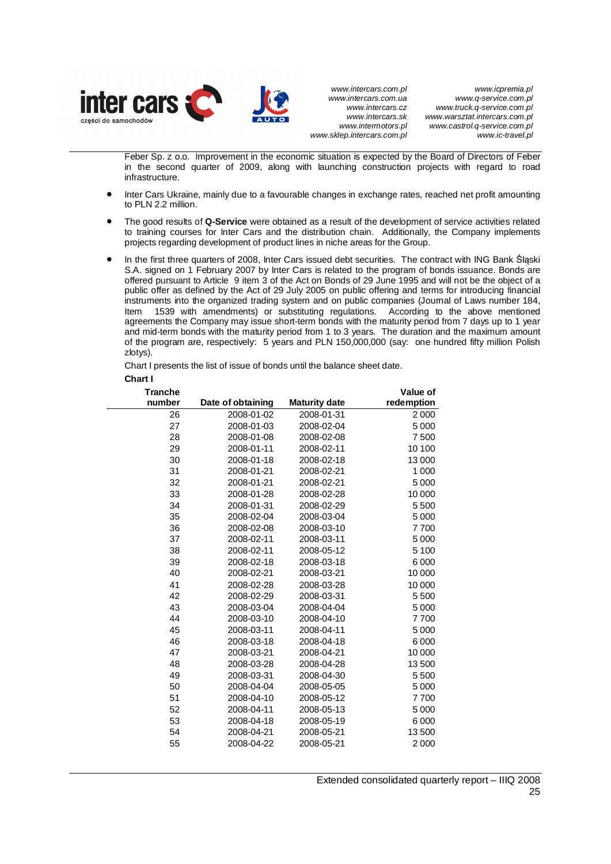

*www.icpremia.pl www.q-service.com.pl www.truck.q-service.com.pl www.warsztat.intercars.com.pl www.castrol.q-service.com.pl www.ic-travel.pl* 

Feber Sp. z o.o. Improvement in the economic situation is expected by the Board of Directors of Feber in the second quarter of 2009, along with launching construction projects with regard to road infrastructure.

- Inter Cars Ukraine, mainly due to a favourable changes in exchange rates, reached net profit amounting to PLN 2.2 million.
- x The good results of **Q-Service** were obtained as a result of the development of service activities related to training courses for Inter Cars and the distribution chain. Additionally, the Company implements projects regarding development of product lines in niche areas for the Group.
- In the first three quarters of 2008, Inter Cars issued debt securities. The contract with ING Bank Śląski S.A. signed on 1 February 2007 by Inter Cars is related to the program of bonds issuance. Bonds are offered pursuant to Article 9 item 3 of the Act on Bonds of 29 June 1995 and will not be the object of a public offer as defined by the Act of 29 July 2005 on public offering and terms for introducing financial instruments into the organized trading system and on public companies (Journal of Laws number 184, Item 1539 with amendments) or substituting regulations. According to the above mentioned agreements the Company may issue short-term bonds with the maturity period from 7 days up to 1 year and mid-term bonds with the maturity period from 1 to 3 years. The duration and the maximum amount of the program are, respectively: 5 years and PLN 150,000,000 (say: one hundred fifty million Polish zlotys).

Chart I presents the list of issue of bonds until the balance sheet date. **Chart I** 

| <b>Tranche</b> |                   |                      | Value of   |
|----------------|-------------------|----------------------|------------|
| number         | Date of obtaining | <b>Maturity date</b> | redemption |
| 26             | 2008-01-02        | 2008-01-31           | 2 0 0 0    |
| 27             | 2008-01-03        | 2008-02-04           | 5 0 0 0    |
| 28             | 2008-01-08        | 2008-02-08           | 7500       |
| 29             | 2008-01-11        | 2008-02-11           | 10 100     |
| 30             | 2008-01-18        | 2008-02-18           | 13 000     |
| 31             | 2008-01-21        | 2008-02-21           | 1 0 0 0    |
| 32             | 2008-01-21        | 2008-02-21           | 5 0 0 0    |
| 33             | 2008-01-28        | 2008-02-28           | 10 000     |
| 34             | 2008-01-31        | 2008-02-29           | 5 500      |
| 35             | 2008-02-04        | 2008-03-04           | 5 0 0 0    |
| 36             | 2008-02-08        | 2008-03-10           | 7700       |
| 37             | 2008-02-11        | 2008-03-11           | 5 0 0 0    |
| 38             | 2008-02-11        | 2008-05-12           | 5 100      |
| 39             | 2008-02-18        | 2008-03-18           | 6 0 0 0    |
| 40             | 2008-02-21        | 2008-03-21           | 10 000     |
| 41             | 2008-02-28        | 2008-03-28           | 10 000     |
| 42             | 2008-02-29        | 2008-03-31           | 5 500      |
| 43             | 2008-03-04        | 2008-04-04           | 5 0 0 0    |
| 44             | 2008-03-10        | 2008-04-10           | 7700       |
| 45             | 2008-03-11        | 2008-04-11           | 5 0 0 0    |
| 46             | 2008-03-18        | 2008-04-18           | 6 0 0 0    |
| 47             | 2008-03-21        | 2008-04-21           | 10 000     |
| 48             | 2008-03-28        | 2008-04-28           | 13 500     |
| 49             | 2008-03-31        | 2008-04-30           | 5 500      |
| 50             | 2008-04-04        | 2008-05-05           | 5 0 0 0    |
| 51             | 2008-04-10        | 2008-05-12           | 7700       |
| 52             | 2008-04-11        | 2008-05-13           | 5 0 0 0    |
| 53             | 2008-04-18        | 2008-05-19           | 6 0 0 0    |
| 54             | 2008-04-21        | 2008-05-21           | 13 500     |
| 55             | 2008-04-22        | 2008-05-21           | 2 0 0 0    |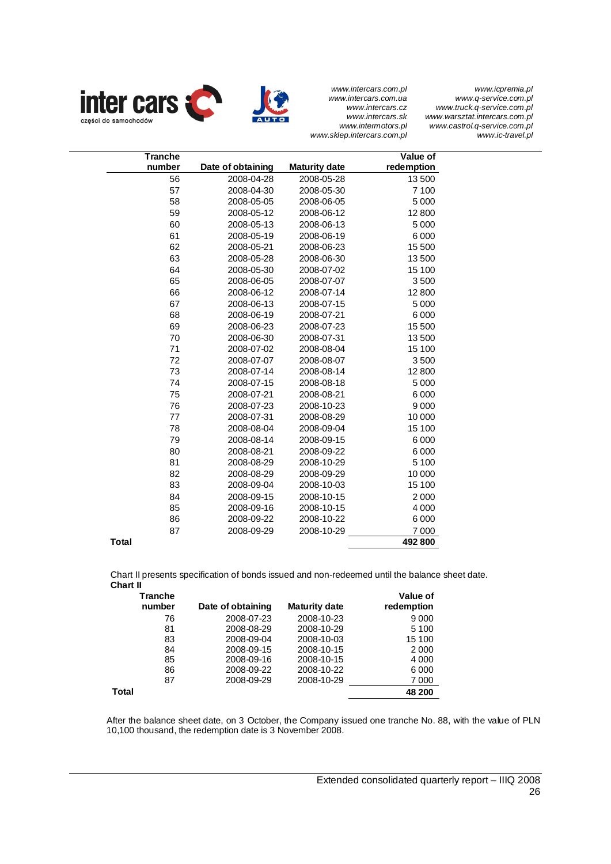*www.icpremia.pl www.q-service.com.pl www.truck.q-service.com.pl www.warsztat.intercars.com.pl www.castrol.q-service.com.pl www.ic-travel.pl* 

*www.intercars.com.pl www.intercars.com.ua www.intercars.cz www.intercars.sk www.intermotors.pl www.sklep.intercars.com.pl* 





| <b>Tranche</b><br>number | Date of obtaining | <b>Maturity date</b> | Value of<br>redemption |
|--------------------------|-------------------|----------------------|------------------------|
| 56                       | 2008-04-28        | 2008-05-28           | 13 500                 |
| 57                       | 2008-04-30        | 2008-05-30           | 7 100                  |
| 58                       | 2008-05-05        | 2008-06-05           | 5 0 0 0                |
| 59                       | 2008-05-12        | 2008-06-12           | 12 800                 |
| 60                       | 2008-05-13        | 2008-06-13           | 5 0 0 0                |
| 61                       | 2008-05-19        | 2008-06-19           | 6 0 0 0                |
| 62                       | 2008-05-21        | 2008-06-23           | 15 500                 |
| 63                       | 2008-05-28        | 2008-06-30           | 13 500                 |
| 64                       | 2008-05-30        | 2008-07-02           | 15 100                 |
| 65                       | 2008-06-05        | 2008-07-07           | 3500                   |
| 66                       | 2008-06-12        | 2008-07-14           | 12 800                 |
| 67                       | 2008-06-13        | 2008-07-15           | 5 0 0 0                |
| 68                       | 2008-06-19        | 2008-07-21           | 6 0 0 0                |
| 69                       | 2008-06-23        | 2008-07-23           | 15 500                 |
| 70                       | 2008-06-30        | 2008-07-31           | 13 500                 |
| 71                       | 2008-07-02        | 2008-08-04           | 15 100                 |
| 72                       | 2008-07-07        | 2008-08-07           | 3500                   |
| 73                       | 2008-07-14        | 2008-08-14           | 12 800                 |
| 74                       | 2008-07-15        | 2008-08-18           | 5 0 0 0                |
| 75                       | 2008-07-21        | 2008-08-21           | 6 0 0 0                |
| 76                       | 2008-07-23        | 2008-10-23           | 9 0 0 0                |
| 77                       | 2008-07-31        | 2008-08-29           | 10 000                 |
| 78                       | 2008-08-04        | 2008-09-04           | 15 100                 |
| 79                       | 2008-08-14        | 2008-09-15           | 6 0 0 0                |
| 80                       | 2008-08-21        | 2008-09-22           | 6 0 0 0                |
| 81                       | 2008-08-29        | 2008-10-29           | 5 100                  |
| 82                       | 2008-08-29        | 2008-09-29           | 10 000                 |
| 83                       | 2008-09-04        | 2008-10-03           | 15 100                 |
| 84                       | 2008-09-15        | 2008-10-15           | 2 0 0 0                |
| 85                       | 2008-09-16        | 2008-10-15           | 4 0 0 0                |
| 86                       | 2008-09-22        | 2008-10-22           | 6 0 0 0                |
| 87                       | 2008-09-29        | 2008-10-29           | 7 0 0 0                |
| <b>Total</b>             |                   |                      | 492 800                |

Chart II presents specification of bonds issued and non-redeemed until the balance sheet date. **Chart II** 

| <b>Tranche</b> |                   |                      | Value of   |
|----------------|-------------------|----------------------|------------|
| number         | Date of obtaining | <b>Maturity date</b> | redemption |
| 76             | 2008-07-23        | 2008-10-23           | 9000       |
| 81             | 2008-08-29        | 2008-10-29           | 5 1 0 0    |
| 83             | 2008-09-04        | 2008-10-03           | 15 100     |
| 84             | 2008-09-15        | 2008-10-15           | 2000       |
| 85             | 2008-09-16        | 2008-10-15           | 4 0 0 0    |
| 86             | 2008-09-22        | 2008-10-22           | 6000       |
| 87             | 2008-09-29        | 2008-10-29           | 7 0 0 0    |
| Total          |                   |                      | 48 200     |

After the balance sheet date, on 3 October, the Company issued one tranche No. 88, with the value of PLN 10,100 thousand, the redemption date is 3 November 2008.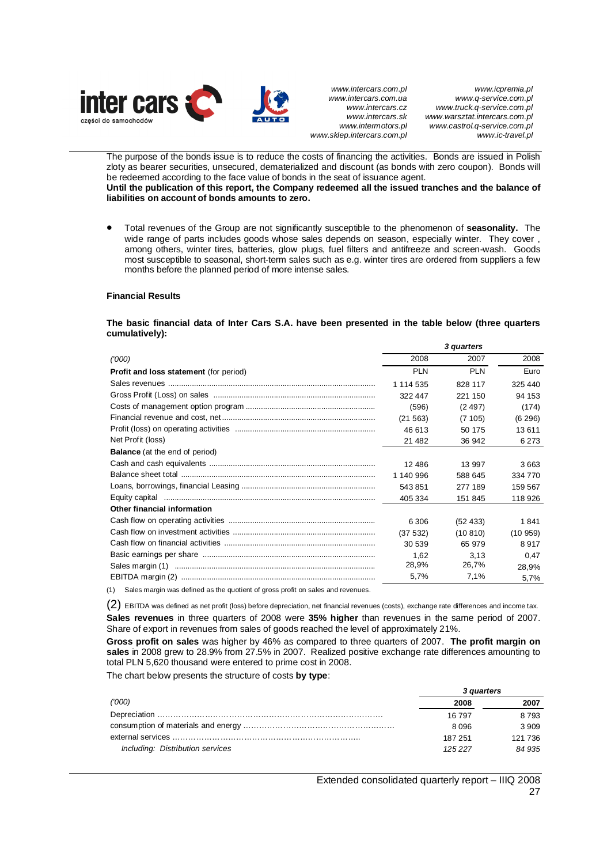

The purpose of the bonds issue is to reduce the costs of financing the activities. Bonds are issued in Polish zloty as bearer securities, unsecured, dematerialized and discount (as bonds with zero coupon). Bonds will be redeemed according to the face value of bonds in the seat of issuance agent. **Until the publication of this report, the Company redeemed all the issued tranches and the balance of liabilities on account of bonds amounts to zero.** 

x Total revenues of the Group are not significantly susceptible to the phenomenon of **seasonality.** The wide range of parts includes goods whose sales depends on season, especially winter. They cover , among others, winter tires, batteries, glow plugs, fuel filters and antifreeze and screen-wash. Goods most susceptible to seasonal, short-term sales such as e.g. winter tires are ordered from suppliers a few months before the planned period of more intense sales.

#### **Financial Results**

#### **The basic financial data of Inter Cars S.A. have been presented in the table below (three quarters cumulatively):**

|                                                                                     |            | 3 quarters |         |
|-------------------------------------------------------------------------------------|------------|------------|---------|
| (000)                                                                               | 2008       | 2007       | 2008    |
| Profit and loss statement (for period)                                              | <b>PLN</b> | <b>PLN</b> | Euro    |
|                                                                                     | 1 114 535  | 828 117    | 325 440 |
|                                                                                     | 322 447    | 221 150    | 94 153  |
|                                                                                     | (596)      | (2497)     | (174)   |
|                                                                                     | (21 563)   | (7105)     | (6 296) |
|                                                                                     | 46 613     | 50 175     | 13 611  |
| Net Profit (loss)                                                                   | 21 4 8 2   | 36 942     | 6 2 7 3 |
| <b>Balance</b> (at the end of period)                                               |            |            |         |
|                                                                                     | 12 486     | 13 997     | 3663    |
|                                                                                     | 1 140 996  | 588 645    | 334 770 |
|                                                                                     | 543851     | 277 189    | 159 567 |
|                                                                                     | 405 334    | 151 845    | 118926  |
| Other financial information                                                         |            |            |         |
|                                                                                     | 6 30 6     | (52, 433)  | 1841    |
|                                                                                     | (37 532)   | (10810)    | (10959) |
|                                                                                     | 30 539     | 65 979     | 8917    |
|                                                                                     | 1,62       | 3,13       | 0.47    |
|                                                                                     | 28,9%      | 26,7%      | 28,9%   |
|                                                                                     | 5.7%       | 7.1%       | 5,7%    |
| (1) Sales margin was defined as the quotient of gross profit on sales and revenues. |            |            |         |

hed as the quotient of gross p

(2) EBITDA was defined as net profit (loss) before depreciation, net financial revenues (costs), exchange rate differences and income tax. **Sales revenues** in three quarters of 2008 were **35% higher** than revenues in the same period of 2007. Share of export in revenues from sales of goods reached the level of approximately 21%.

**Gross profit on sales** was higher by 46% as compared to three quarters of 2007. **The profit margin on sales** in 2008 grew to 28.9% from 27.5% in 2007. Realized positive exchange rate differences amounting to total PLN 5,620 thousand were entered to prime cost in 2008.

The chart below presents the structure of costs **by type**:

|                                  | 3 quarters |         |
|----------------------------------|------------|---------|
| ('000)                           | 2008       | 2007    |
|                                  | 16 797     | 8 7 9 3 |
|                                  | 8.096      | 3 9 0 9 |
|                                  | 187 251    | 121 736 |
| Including: Distribution services | 125227     | 84 935  |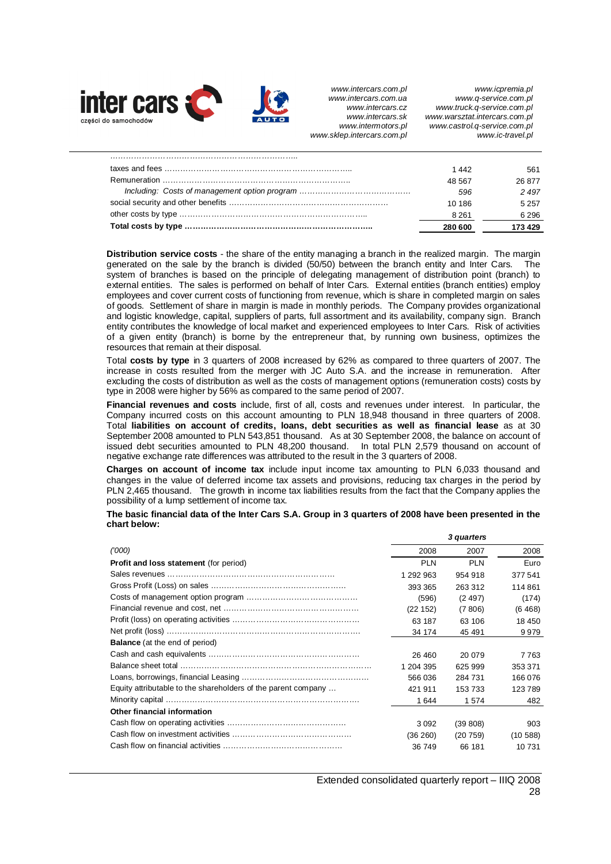

*www.icpremia.pl www.q-service.com.pl www.truck.q-service.com.pl www.warsztat.intercars.com.pl www.castrol.q-service.com.pl www.ic-travel.pl* 

| 280 600 | 173429  |
|---------|---------|
| 8.261   | 6 2 9 6 |
| 10 186  | 5 2 5 7 |
| 596     | 2497    |
| 48.567  | 26877   |
| 1442    | 561     |

**Distribution service costs** - the share of the entity managing a branch in the realized margin. The margin generated on the sale by the branch is divided (50/50) between the branch entity and Inter Cars. The system of branches is based on the principle of delegating management of distribution point (branch) to external entities. The sales is performed on behalf of Inter Cars. External entities (branch entities) employ employees and cover current costs of functioning from revenue, which is share in completed margin on sales of goods. Settlement of share in margin is made in monthly periods. The Company provides organizational and logistic knowledge, capital, suppliers of parts, full assortment and its availability, company sign. Branch entity contributes the knowledge of local market and experienced employees to Inter Cars. Risk of activities of a given entity (branch) is borne by the entrepreneur that, by running own business, optimizes the resources that remain at their disposal.

Total **costs by type** in 3 quarters of 2008 increased by 62% as compared to three quarters of 2007. The increase in costs resulted from the merger with JC Auto S.A. and the increase in remuneration. After excluding the costs of distribution as well as the costs of management options (remuneration costs) costs by type in 2008 were higher by 56% as compared to the same period of 2007.

**Financial revenues and costs** include, first of all, costs and revenues under interest. In particular, the Company incurred costs on this account amounting to PLN 18,948 thousand in three quarters of 2008. Total **liabilities on account of credits, loans, debt securities as well as financial lease** as at 30 September 2008 amounted to PLN 543,851 thousand. As at 30 September 2008, the balance on account of issued debt securities amounted to PLN 48,200 thousand. In total PLN 2,579 thousand on account of negative exchange rate differences was attributed to the result in the 3 quarters of 2008.

**Charges on account of income tax** include input income tax amounting to PLN 6,033 thousand and changes in the value of deferred income tax assets and provisions, reducing tax charges in the period by PLN 2,465 thousand. The growth in income tax liabilities results from the fact that the Company applies the possibility of a lump settlement of income tax.

**The basic financial data of the Inter Cars S.A. Group in 3 quarters of 2008 have been presented in the chart below:** 

|                                                               |            | 3 quarters |           |
|---------------------------------------------------------------|------------|------------|-----------|
| (1000)                                                        | 2008       | 2007       | 2008      |
| <b>Profit and loss statement (for period)</b>                 | <b>PLN</b> | <b>PLN</b> | Euro      |
|                                                               | 1 292 963  | 954 918    | 377 541   |
|                                                               | 393 365    | 263 312    | 114861    |
|                                                               | (596)      | (2497)     | (174)     |
|                                                               | (22152)    | (7806)     | (6468)    |
|                                                               | 63 187     | 63 106     | 18 450    |
|                                                               | 34 174     | 45 491     | 9979      |
| <b>Balance</b> (at the end of period)                         |            |            |           |
|                                                               | 26 460     | 20 079     | 7763      |
|                                                               | 1 204 395  | 625 999    | 353 371   |
|                                                               | 566036     | 284 731    | 166 076   |
| Equity attributable to the shareholders of the parent company | 421 911    | 153 733    | 123789    |
|                                                               | 1644       | 1574       | 482       |
| Other financial information                                   |            |            |           |
|                                                               | 3092       | (39 808)   | 903       |
|                                                               | (36 260)   | (20759)    | (10, 588) |
|                                                               | 36 749     | 66 181     | 10 731    |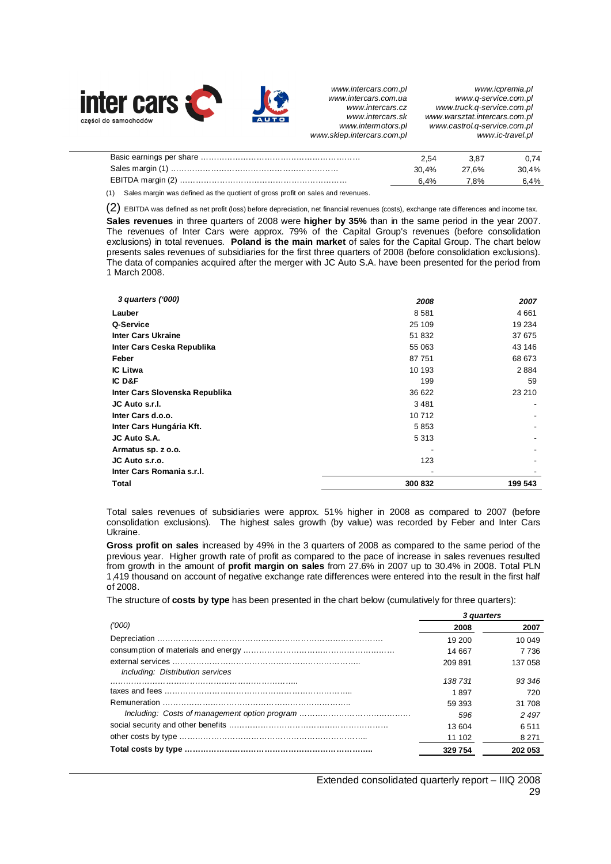

1 March 2008.

*www.intercars.com.pl www.intercars.com.ua www.intercars.cz www.intercars.sk www.intermotors.pl www.sklep.intercars.com.pl* 

*www.icpremia.pl www.q-service.com.pl www.truck.q-service.com.pl www.warsztat.intercars.com.pl www.castrol.q-service.com.pl www.ic-travel.pl* 

|                                                                                                                                                                                                                                          | 2.54     | 3.87  | 0.74  |
|------------------------------------------------------------------------------------------------------------------------------------------------------------------------------------------------------------------------------------------|----------|-------|-------|
|                                                                                                                                                                                                                                          | $30.4\%$ | 27.6% | 30.4% |
|                                                                                                                                                                                                                                          | 6.4%     | 7.8%  | 6.4%  |
| $\mathcal{L}(\mathbf{A})$ and the contract of the contract of the contract of the contract of the contract of the contract of the contract of the contract of the contract of the contract of the contract of the contract of the contra |          |       |       |

(1) Sales margin was defined as the quotient of gross profit on sales and revenues.

(2) EBITDA was defined as net profit (loss) before depreciation, net financial revenues (costs), exchange rate differences and income tax. **Sales revenues** in three quarters of 2008 were **higher by 35%** than in the same period in the year 2007. The revenues of Inter Cars were approx. 79% of the Capital Group's revenues (before consolidation exclusions) in total revenues. **Poland is the main market** of sales for the Capital Group. The chart below presents sales revenues of subsidiaries for the first three quarters of 2008 (before consolidation exclusions). The data of companies acquired after the merger with JC Auto S.A. have been presented for the period from

| 3 quarters ('000)              | 2008   | 2007    |
|--------------------------------|--------|---------|
| Lauber                         | 8581   | 4661    |
| Q-Service                      | 25 109 | 19 234  |
| <b>Inter Cars Ukraine</b>      | 51832  | 37 675  |
| Inter Cars Ceska Republika     | 55 063 | 43 146  |
| Feber                          | 87 751 | 68 673  |
| <b>IC Litwa</b>                | 10 193 | 2884    |
| IC D&F                         | 199    | 59      |
| Inter Cars Slovenska Republika | 36 622 | 23 210  |
| JC Auto s.r.l.                 | 3481   | ٠       |
| Inter Cars d.o.o.              | 10712  |         |
| Inter Cars Hungária Kft.       | 5853   |         |
| JC Auto S.A.                   | 5313   |         |
| Armatus sp. z o.o.             |        |         |
| JC Auto s.r.o.                 | 123    |         |
| Inter Cars Romania s.r.l.      |        |         |
| Total                          | 300832 | 199 543 |
|                                |        |         |

Total sales revenues of subsidiaries were approx. 51% higher in 2008 as compared to 2007 (before consolidation exclusions). The highest sales growth (by value) was recorded by Feber and Inter Cars Ukraine.

**Gross profit on sales** increased by 49% in the 3 quarters of 2008 as compared to the same period of the previous year. Higher growth rate of profit as compared to the pace of increase in sales revenues resulted from growth in the amount of **profit margin on sales** from 27.6% in 2007 up to 30.4% in 2008. Total PLN 1,419 thousand on account of negative exchange rate differences were entered into the result in the first half of 2008.

The structure of **costs by type** has been presented in the chart below (cumulatively for three quarters):

| ('000)<br>2008<br>19 200         | 2007<br>10 049<br>7 7 3 6 |
|----------------------------------|---------------------------|
|                                  |                           |
|                                  |                           |
| 14 667                           |                           |
| 137 058<br>209891                |                           |
| Including: Distribution services |                           |
| 138 731                          | 93 346                    |
| 1897                             | 720                       |
| 59 393                           | 31 708                    |
| 596                              | 2497                      |
| 13 604                           | 6511                      |
| 11 102                           | 8 2 7 1                   |
| 329754<br>202 053                |                           |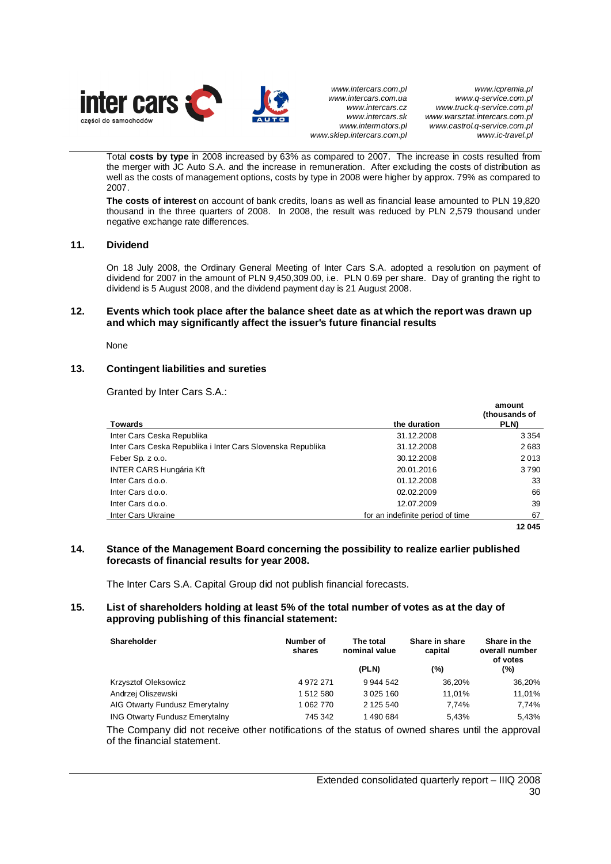

*www.icpremia.pl www.q-service.com.pl www.truck.q-service.com.pl www.warsztat.intercars.com.pl www.castrol.q-service.com.pl www.ic-travel.pl* 

Total **costs by type** in 2008 increased by 63% as compared to 2007. The increase in costs resulted from the merger with JC Auto S.A. and the increase in remuneration. After excluding the costs of distribution as well as the costs of management options, costs by type in 2008 were higher by approx. 79% as compared to 2007.

**The costs of interest** on account of bank credits, loans as well as financial lease amounted to PLN 19,820 thousand in the three quarters of 2008. In 2008, the result was reduced by PLN 2,579 thousand under negative exchange rate differences.

## **11. Dividend**

On 18 July 2008, the Ordinary General Meeting of Inter Cars S.A. adopted a resolution on payment of dividend for 2007 in the amount of PLN 9,450,309.00, i.e. PLN 0.69 per share. Day of granting the right to dividend is 5 August 2008, and the dividend payment day is 21 August 2008.

## **12. Events which took place after the balance sheet date as at which the report was drawn up and which may significantly affect the issuer's future financial results**

None

## **13. Contingent liabilities and sureties**

Granted by Inter Cars S.A.:

|                                                             |                                  | amount<br>(thousands of |
|-------------------------------------------------------------|----------------------------------|-------------------------|
| <b>Towards</b>                                              | the duration                     | PLN)                    |
| Inter Cars Ceska Republika                                  | 31.12.2008                       | 3 3 5 4                 |
| Inter Cars Ceska Republika i Inter Cars Slovenska Republika | 31.12.2008                       | 2683                    |
| Feber Sp. z o.o.                                            | 30.12.2008                       | 2013                    |
| <b>INTER CARS Hungária Kft</b>                              | 20.01.2016                       | 3790                    |
| Inter Cars d.o.o.                                           | 01.12.2008                       | 33                      |
| Inter Cars d.o.o.                                           | 02.02.2009                       | 66                      |
| Inter Cars d.o.o.                                           | 12.07.2009                       | 39                      |
| Inter Cars Ukraine                                          | for an indefinite period of time | 67                      |
|                                                             |                                  | 12 045                  |

## **14. Stance of the Management Board concerning the possibility to realize earlier published forecasts of financial results for year 2008.**

The Inter Cars S.A. Capital Group did not publish financial forecasts.

## **15. List of shareholders holding at least 5% of the total number of votes as at the day of approving publishing of this financial statement:**

| Shareholder                           | Number of<br>shares | The total<br>nominal value | Share in share<br>capital | Share in the<br>overall number<br>of votes |  |
|---------------------------------------|---------------------|----------------------------|---------------------------|--------------------------------------------|--|
|                                       |                     | (PLN)                      | (%)                       | (%)                                        |  |
| Krzysztof Oleksowicz                  | 4 972 271           | 9 944 542                  | 36.20%                    | 36,20%                                     |  |
| Andrzej Oliszewski                    | 1512580             | 3 0 25 160                 | 11.01%                    | 11,01%                                     |  |
| AIG Otwarty Fundusz Emerytalny        | 1 062 770           | 2 125 540                  | 7.74%                     | 7.74%                                      |  |
| <b>ING Otwarty Fundusz Emerytalny</b> | 745 342             | 1490684                    | 5.43%                     | 5,43%                                      |  |

The Company did not receive other notifications of the status of owned shares until the approval of the financial statement.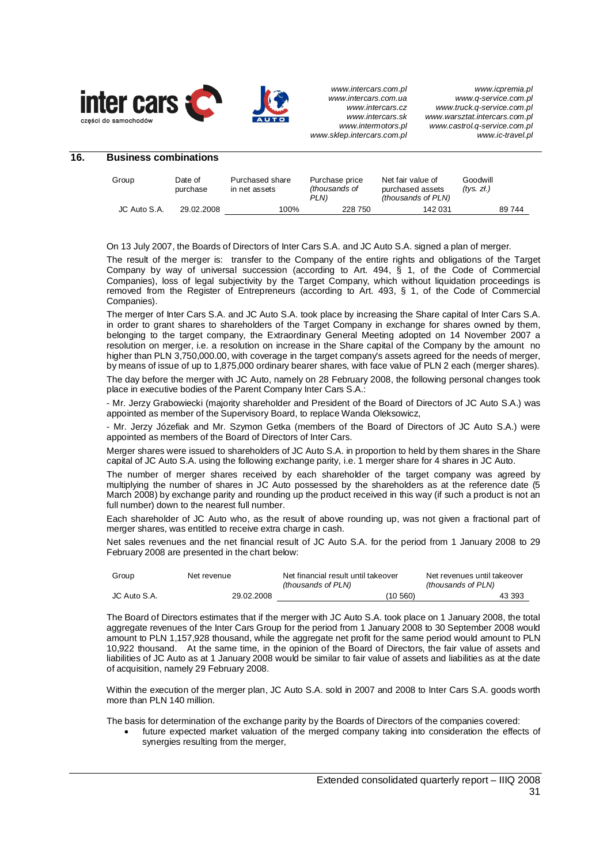

| 16. | <b>Business combinations</b> |                     |                                  |                                         |                                                             |                        |  |  |
|-----|------------------------------|---------------------|----------------------------------|-----------------------------------------|-------------------------------------------------------------|------------------------|--|--|
|     | Group                        | Date of<br>purchase | Purchased share<br>in net assets | Purchase price<br>(thousands of<br>PLN) | Net fair value of<br>purchased assets<br>(thousands of PLN) | Goodwill<br>(tvs. zt.) |  |  |
|     | JC Auto S.A.                 | 29.02.2008          | 100%                             | 228 750                                 | 142 031                                                     | 89744                  |  |  |

On 13 July 2007, the Boards of Directors of Inter Cars S.A. and JC Auto S.A. signed a plan of merger.

The result of the merger is: transfer to the Company of the entire rights and obligations of the Target Company by way of universal succession (according to Art. 494, § 1, of the Code of Commercial Companies), loss of legal subjectivity by the Target Company, which without liquidation proceedings is removed from the Register of Entrepreneurs (according to Art. 493, § 1, of the Code of Commercial Companies).

The merger of Inter Cars S.A. and JC Auto S.A. took place by increasing the Share capital of Inter Cars S.A. in order to grant shares to shareholders of the Target Company in exchange for shares owned by them, belonging to the target company, the Extraordinary General Meeting adopted on 14 November 2007 a resolution on merger, i.e. a resolution on increase in the Share capital of the Company by the amount no higher than PLN 3,750,000.00, with coverage in the target company's assets agreed for the needs of merger, by means of issue of up to 1,875,000 ordinary bearer shares, with face value of PLN 2 each (merger shares).

The day before the merger with JC Auto, namely on 28 February 2008, the following personal changes took place in executive bodies of the Parent Company Inter Cars S.A.:

- Mr. Jerzy Grabowiecki (majority shareholder and President of the Board of Directors of JC Auto S.A.) was appointed as member of the Supervisory Board, to replace Wanda Oleksowicz,

- Mr. Jerzy Józefiak and Mr. Szymon Getka (members of the Board of Directors of JC Auto S.A.) were appointed as members of the Board of Directors of Inter Cars.

Merger shares were issued to shareholders of JC Auto S.A. in proportion to held by them shares in the Share capital of JC Auto S.A. using the following exchange parity, i.e. 1 merger share for 4 shares in JC Auto.

The number of merger shares received by each shareholder of the target company was agreed by multiplying the number of shares in JC Auto possessed by the shareholders as at the reference date (5 March 2008) by exchange parity and rounding up the product received in this way (if such a product is not an full number) down to the nearest full number.

Each shareholder of JC Auto who, as the result of above rounding up, was not given a fractional part of merger shares, was entitled to receive extra charge in cash.

Net sales revenues and the net financial result of JC Auto S.A. for the period from 1 January 2008 to 29 February 2008 are presented in the chart below:

| Group        | Net revenue | Net financial result until takeover<br>(thousands of PLN) | Net revenues until takeover<br>(thousands of PLN) |
|--------------|-------------|-----------------------------------------------------------|---------------------------------------------------|
| JC Auto S.A. | 29.02.2008  | (10 560)                                                  | 43 393                                            |

The Board of Directors estimates that if the merger with JC Auto S.A. took place on 1 January 2008, the total aggregate revenues of the Inter Cars Group for the period from 1 January 2008 to 30 September 2008 would amount to PLN 1,157,928 thousand, while the aggregate net profit for the same period would amount to PLN 10,922 thousand. At the same time, in the opinion of the Board of Directors, the fair value of assets and liabilities of JC Auto as at 1 January 2008 would be similar to fair value of assets and liabilities as at the date of acquisition, namely 29 February 2008.

Within the execution of the merger plan, JC Auto S.A. sold in 2007 and 2008 to Inter Cars S.A. goods worth more than PLN 140 million.

The basis for determination of the exchange parity by the Boards of Directors of the companies covered:

future expected market valuation of the merged company taking into consideration the effects of synergies resulting from the merger,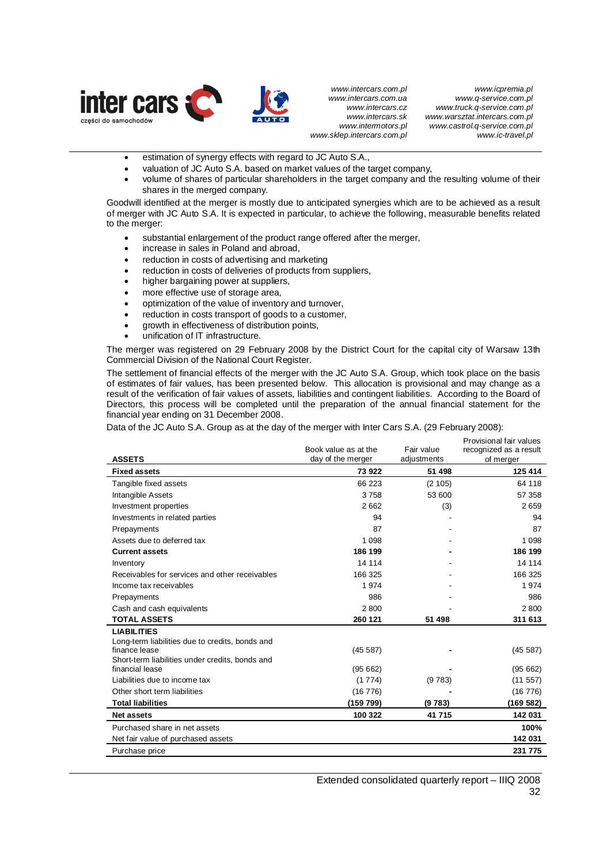

*www.icpremia.pl www.q-service.com.pl www.truck.q-service.com.pl www.warsztat.intercars.com.pl www.castrol.q-service.com.pl www.ic-travel.pl* 

- **•** estimation of synergy effects with regard to JC Auto S.A.,
- x valuation of JC Auto S.A. based on market values of the target company,
- volume of shares of particular shareholders in the target company and the resulting volume of their shares in the merged company.

Goodwill identified at the merger is mostly due to anticipated synergies which are to be achieved as a result of merger with JC Auto S.A. It is expected in particular, to achieve the following, measurable benefits related to the merger:

- substantial enlargement of the product range offered after the merger,
- increase in sales in Poland and abroad,
- reduction in costs of advertising and marketing
- reduction in costs of deliveries of products from suppliers,
- higher bargaining power at suppliers,
- more effective use of storage area,
- optimization of the value of inventory and turnover,
- reduction in costs transport of goods to a customer,
- growth in effectiveness of distribution points,
- unification of IT infrastructure.

The merger was registered on 29 February 2008 by the District Court for the capital city of Warsaw 13th Commercial Division of the National Court Register.

The settlement of financial effects of the merger with the JC Auto S.A. Group, which took place on the basis of estimates of fair values, has been presented below. This allocation is provisional and may change as a result of the verification of fair values of assets, liabilities and contingent liabilities. According to the Board of Directors, this process will be completed until the preparation of the annual financial statement for the financial year ending on 31 December 2008.

Data of the JC Auto S.A. Group as at the day of the merger with Inter Cars S.A. (29 February 2008):

|                                                                    |                      |             | Provisional fair values |
|--------------------------------------------------------------------|----------------------|-------------|-------------------------|
|                                                                    | Book value as at the | Fair value  | recognized as a result  |
| <b>ASSETS</b>                                                      | day of the merger    | adjustments | of merger               |
| <b>Fixed assets</b>                                                | 73 922               | 51 498      | 125 414                 |
| Tangible fixed assets                                              | 66 223               | (2105)      | 64 118                  |
| Intangible Assets                                                  | 3758                 | 53 600      | 57 358                  |
| Investment properties                                              | 2662                 | (3)         | 2659                    |
| Investments in related parties                                     | 94                   |             | 94                      |
| Prepayments                                                        | 87                   |             | 87                      |
| Assets due to deferred tax                                         | 1098                 |             | 1 0 9 8                 |
| <b>Current assets</b>                                              | 186 199              |             | 186 199                 |
| Inventory                                                          | 14 114               |             | 14 114                  |
| Receivables for services and other receivables                     | 166 325              |             | 166 325                 |
| Income tax receivables                                             | 1974                 |             | 1974                    |
| Prepayments                                                        | 986                  |             | 986                     |
| Cash and cash equivalents                                          | 2800                 |             | 2800                    |
| <b>TOTAL ASSETS</b>                                                | 260 121              | 51 498      | 311 613                 |
| <b>LIABILITIES</b>                                                 |                      |             |                         |
| Long-term liabilities due to credits, bonds and                    |                      |             |                         |
| finance lease                                                      | (45587)              |             | (45 587)                |
| Short-term liabilities under credits, bonds and<br>financial lease | (95662)              |             | (95662)                 |
| Liabilities due to income tax                                      | (1774)               | (9783)      | (11 557)                |
| Other short term liabilities                                       | (16776)              |             | (16 776)                |
| <b>Total liabilities</b>                                           | (159 799)            | (9783)      | (169 582)               |
| <b>Net assets</b>                                                  | 100 322              | 41 715      | 142 031                 |
|                                                                    |                      |             |                         |
| Purchased share in net assets                                      |                      |             | 100%                    |
| Net fair value of purchased assets                                 |                      |             | 142 031                 |
| Purchase price                                                     |                      |             | 231 775                 |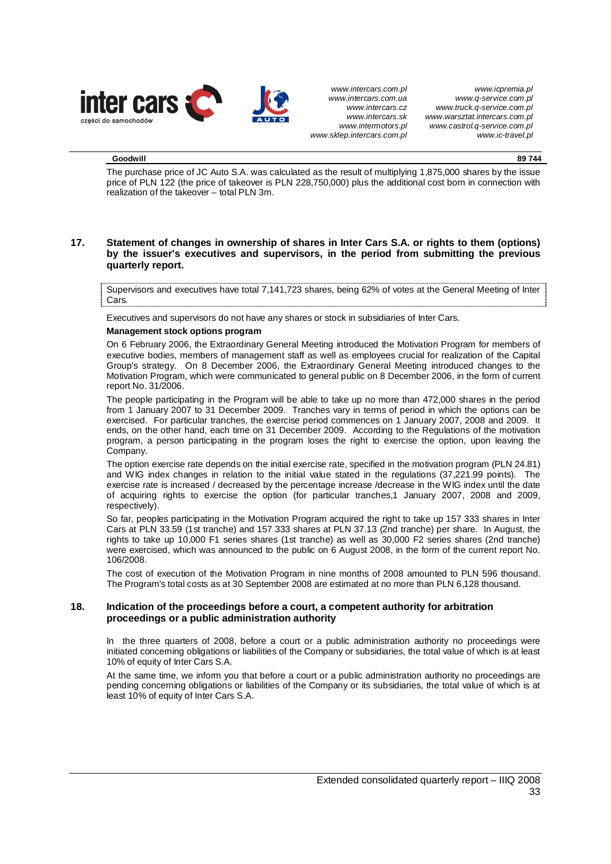

#### **Goodwill 89 744**

The purchase price of JC Auto S.A. was calculated as the result of multiplying 1,875,000 shares by the issue price of PLN 122 (the price of takeover is PLN 228,750,000) plus the additional cost born in connection with realization of the takeover – total PLN 3m.

## **17. Statement of changes in ownership of shares in Inter Cars S.A. or rights to them (options) by the issuer's executives and supervisors, in the period from submitting the previous quarterly report.**

Supervisors and executives have total 7,141,723 shares, being 62% of votes at the General Meeting of Inter Cars.

Executives and supervisors do not have any shares or stock in subsidiaries of Inter Cars.

## **Management stock options program**

On 6 February 2006, the Extraordinary General Meeting introduced the Motivation Program for members of executive bodies, members of management staff as well as employees crucial for realization of the Capital Group's strategy. On 8 December 2006, the Extraordinary General Meeting introduced changes to the Motivation Program, which were communicated to general public on 8 December 2006, in the form of current report No. 31/2006.

The people participating in the Program will be able to take up no more than 472,000 shares in the period from 1 January 2007 to 31 December 2009. Tranches vary in terms of period in which the options can be exercised. For particular tranches, the exercise period commences on 1 January 2007, 2008 and 2009. It ends, on the other hand, each time on 31 December 2009. According to the Regulations of the motivation program, a person participating in the program loses the right to exercise the option, upon leaving the Company.

The option exercise rate depends on the initial exercise rate, specified in the motivation program (PLN 24.81) and WIG index changes in relation to the initial value stated in the regulations (37,221.99 points). The exercise rate is increased / decreased by the percentage increase /decrease in the WIG index until the date of acquiring rights to exercise the option (for particular tranches,1 January 2007, 2008 and 2009, respectively).

So far, peoples participating in the Motivation Program acquired the right to take up 157 333 shares in Inter Cars at PLN 33.59 (1st tranche) and 157 333 shares at PLN 37.13 (2nd tranche) per share. In August, the rights to take up 10,000 F1 series shares (1st tranche) as well as 30,000 F2 series shares (2nd tranche) were exercised, which was announced to the public on 6 August 2008, in the form of the current report No. 106/2008.

The cost of execution of the Motivation Program in nine months of 2008 amounted to PLN 596 thousand. The Program's total costs as at 30 September 2008 are estimated at no more than PLN 6,128 thousand.

## **18. Indication of the proceedings before a court, a competent authority for arbitration proceedings or a public administration authority**

In the three quarters of 2008, before a court or a public administration authority no proceedings were initiated concerning obligations or liabilities of the Company or subsidiaries, the total value of which is at least 10% of equity of Inter Cars S.A.

At the same time, we inform you that before a court or a public administration authority no proceedings are pending concerning obligations or liabilities of the Company or its subsidiaries, the total value of which is at least 10% of equity of Inter Cars S.A.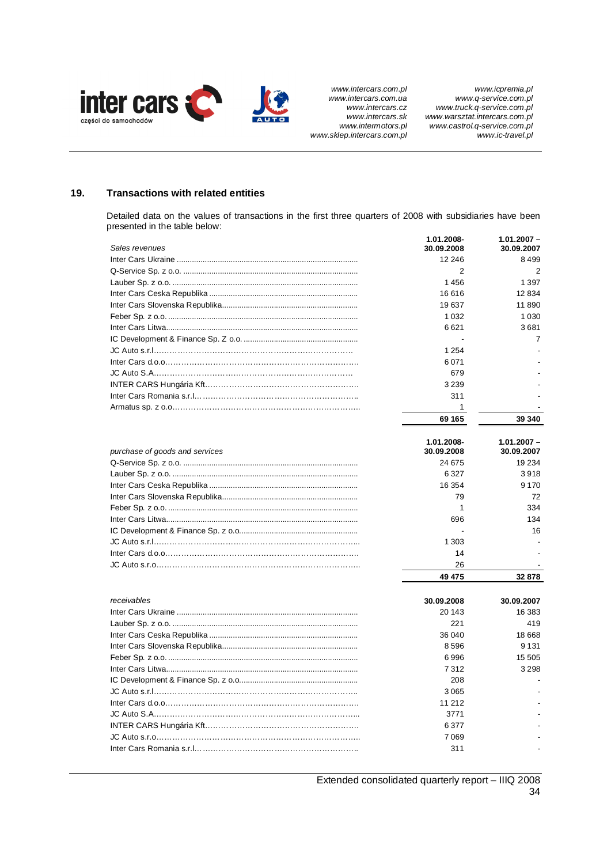

## **19. Transactions with related entities**

Detailed data on the values of transactions in the first three quarters of 2008 with subsidiaries have been presented in the table below:

|                                | 1.01.2008-               | 1.01.2007 - |
|--------------------------------|--------------------------|-------------|
| Sales revenues                 | 30.09.2008               | 30.09.2007  |
|                                | 12 24 6                  | 8499        |
|                                | 2                        | 2           |
|                                | 1456                     | 1 3 9 7     |
|                                | 16 616                   | 12 834      |
|                                | 19 637                   | 11 890      |
|                                | 1 0 3 2                  | 1 0 3 0     |
|                                | 6621                     | 3681        |
|                                |                          | 7           |
|                                | 1 2 5 4                  |             |
|                                | 6071                     |             |
|                                | 679                      |             |
|                                | 3 2 3 9                  |             |
|                                | 311                      |             |
|                                | $\mathbf{1}$             |             |
|                                | 69 165                   | 39 340      |
|                                | 1.01.2008-               | 1.01.2007 - |
| purchase of goods and services | 30.09.2008               | 30.09.2007  |
|                                | 24 675                   | 19 234      |
|                                | 6 3 2 7                  | 3918        |
|                                | 16 354                   | 9 1 7 0     |
|                                | 79                       | 72          |
|                                | 1                        | 334         |
|                                | 696                      | 134         |
|                                | $\overline{\phantom{a}}$ | 16          |
|                                | 1 3 0 3                  |             |
|                                | 14                       |             |
|                                | 26                       |             |
|                                | 49 475                   | 32 878      |
| receivables                    |                          |             |
|                                | 30.09.2008               | 30.09.2007  |
|                                | 20 143                   | 16 383      |
|                                | 221                      | 419         |
|                                | 36 040                   | 18 668      |
|                                | 8596                     | 9 1 3 1     |
|                                | 6996                     | 15 505      |
|                                | 7312                     | 3 2 9 8     |
|                                | 208                      |             |
|                                | 3065                     |             |
|                                | 11 21 2                  |             |
|                                | 3771                     |             |
|                                | 6377                     |             |
|                                | 7069                     |             |
|                                | 311                      |             |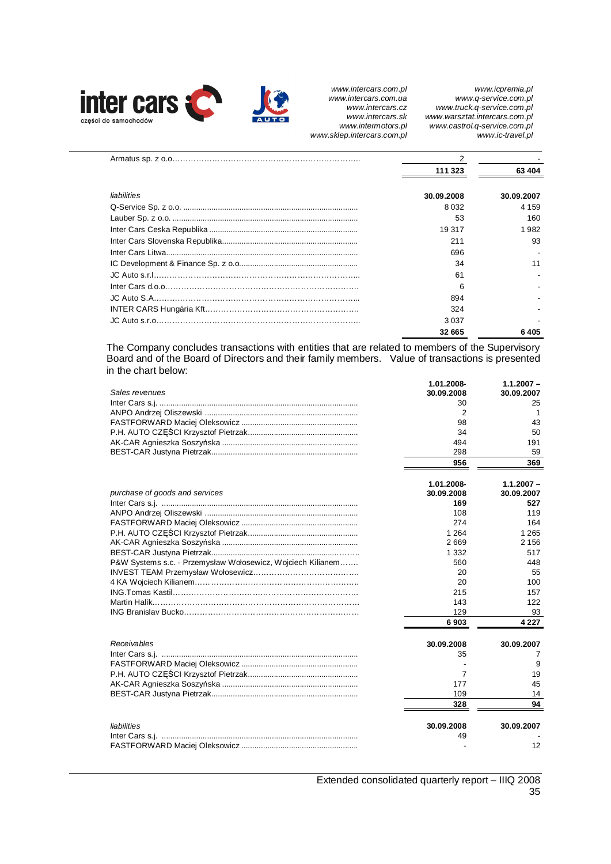

*www.icpremia.pl www.q-service.com.pl www.truck.q-service.com.pl www.warsztat.intercars.com.pl www.castrol.q-service.com.pl www.ic-travel.pl* 

|             | 111 323    | 63 404     |  |
|-------------|------------|------------|--|
| liabilities | 30.09.2008 | 30.09.2007 |  |
|             | 8 0 3 2    | 4 1 5 9    |  |
|             | 53         | 160        |  |
|             | 19 317     | 1.982      |  |
|             | 211        | 93         |  |
|             | 696        |            |  |
|             | 34         | 11         |  |
|             | 61         |            |  |
|             | 6          |            |  |
|             | 894        |            |  |
|             | 324        |            |  |
|             | 3037       |            |  |
|             | 32 665     | 6405       |  |

The Company concludes transactions with entities that are related to members of the Supervisory Board and of the Board of Directors and their family members. Value of transactions is presented in the chart below:

| Sales revenues                                              | 1.01.2008-<br>30.09.2008 | $1.1.2007 -$<br>30.09.2007 |
|-------------------------------------------------------------|--------------------------|----------------------------|
|                                                             | 30                       | 25                         |
|                                                             | 2                        | $\mathbf{1}$               |
|                                                             | 98                       | 43                         |
|                                                             | 34                       | 50                         |
|                                                             | 494                      | 191                        |
|                                                             | 298                      | 59                         |
|                                                             | 956                      | 369                        |
|                                                             | 1.01.2008-               | $1.1.2007 -$               |
| purchase of goods and services                              | 30.09.2008               | 30.09.2007                 |
|                                                             | 169                      | 527                        |
|                                                             | 108                      | 119                        |
|                                                             | 274                      | 164                        |
|                                                             | 1 2 6 4                  | 1 2 6 5                    |
|                                                             | 2669                     | 2 1 5 6                    |
|                                                             | 1 3 3 2                  | 517                        |
| P&W Systems s.c. - Przemysław Wołosewicz, Wojciech Kilianem | 560                      | 448                        |
|                                                             | 20                       | 55                         |
|                                                             | 20                       | 100                        |
|                                                             | 215                      | 157                        |
|                                                             | 143                      | 122                        |
|                                                             | 129                      | 93                         |
|                                                             | 6903                     | 4 2 2 7                    |
| Receivables                                                 | 30.09.2008               | 30.09.2007                 |
|                                                             | 35                       | 7                          |
|                                                             |                          | 9                          |
|                                                             | 7                        | 19                         |
|                                                             | 177                      | 45                         |
|                                                             | 109                      | 14                         |
|                                                             | 328                      | 94                         |
| liabilities                                                 | 30.09.2008               | 30.09.2007                 |
|                                                             | 49                       |                            |
|                                                             |                          | 12                         |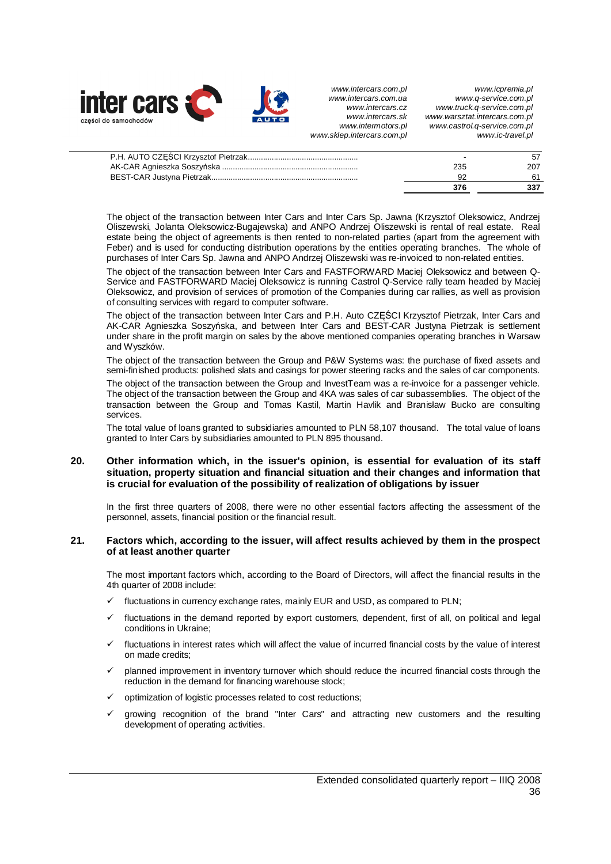

| 376 |     |
|-----|-----|
|     |     |
| 235 | 207 |
|     |     |

The object of the transaction between Inter Cars and Inter Cars Sp. Jawna (Krzysztof Oleksowicz, Andrzej Oliszewski, Jolanta Oleksowicz-Bugajewska) and ANPO Andrzej Oliszewski is rental of real estate. Real estate being the object of agreements is then rented to non-related parties (apart from the agreement with Feber) and is used for conducting distribution operations by the entities operating branches. The whole of purchases of Inter Cars Sp. Jawna and ANPO Andrzej Oliszewski was re-invoiced to non-related entities.

The object of the transaction between Inter Cars and FASTFORWARD Maciej Oleksowicz and between Q-Service and FASTFORWARD Maciej Oleksowicz is running Castrol Q-Service rally team headed by Maciej Oleksowicz, and provision of services of promotion of the Companies during car rallies, as well as provision of consulting services with regard to computer software.

The object of the transaction between Inter Cars and P.H. Auto CZĘŚCI Krzysztof Pietrzak, Inter Cars and AK-CAR Agnieszka Soszyńska, and between Inter Cars and BEST-CAR Justyna Pietrzak is settlement under share in the profit margin on sales by the above mentioned companies operating branches in Warsaw and Wyszków.

The object of the transaction between the Group and P&W Systems was: the purchase of fixed assets and semi-finished products: polished slats and casings for power steering racks and the sales of car components.

The object of the transaction between the Group and InvestTeam was a re-invoice for a passenger vehicle. The object of the transaction between the Group and 4KA was sales of car subassemblies. The object of the transaction between the Group and Tomas Kastil, Martin Havlik and Branisław Bucko are consulting services.

The total value of loans granted to subsidiaries amounted to PLN 58,107 thousand. The total value of loans granted to Inter Cars by subsidiaries amounted to PLN 895 thousand.

## **20. Other information which, in the issuer's opinion, is essential for evaluation of its staff situation, property situation and financial situation and their changes and information that is crucial for evaluation of the possibility of realization of obligations by issuer**

In the first three quarters of 2008, there were no other essential factors affecting the assessment of the personnel, assets, financial position or the financial result.

## **21. Factors which, according to the issuer, will affect results achieved by them in the prospect of at least another quarter**

The most important factors which, according to the Board of Directors, will affect the financial results in the 4th quarter of 2008 include:

- fluctuations in currency exchange rates, mainly EUR and USD, as compared to PLN;
- fluctuations in the demand reported by export customers, dependent, first of all, on political and legal conditions in Ukraine;
- $\checkmark$  fluctuations in interest rates which will affect the value of incurred financial costs by the value of interest on made credits;
- 9 planned improvement in inventory turnover which should reduce the incurred financial costs through the reduction in the demand for financing warehouse stock;
- $\checkmark$  optimization of logistic processes related to cost reductions;
- 9 growing recognition of the brand "Inter Cars" and attracting new customers and the resulting development of operating activities.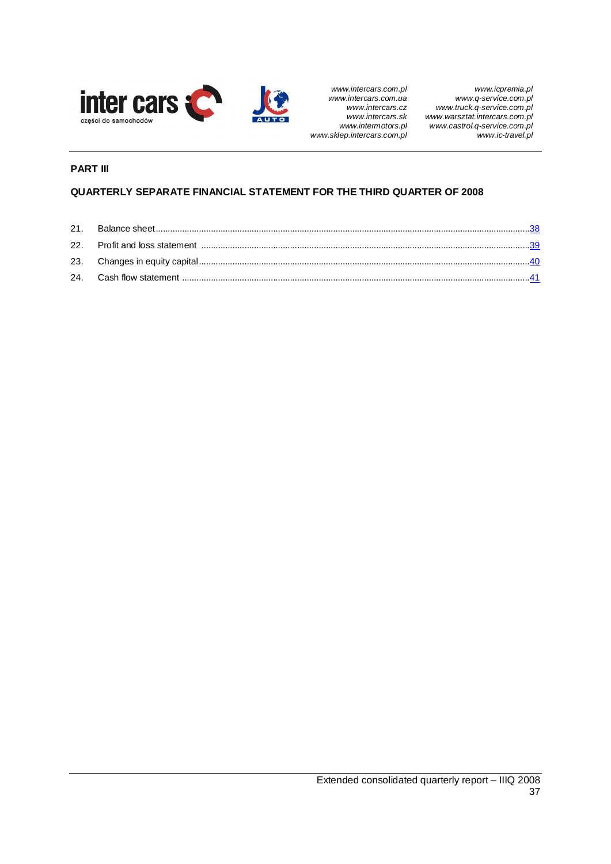

# **PART III**

# **QUARTERLY SEPARATE FINANCIAL STATEMENT FOR THE THIRD QUARTER OF 2008**

| 22. Profit and loss statement manufactured and content and statement manufactured and statement manufactured and |  |
|------------------------------------------------------------------------------------------------------------------|--|
|                                                                                                                  |  |
|                                                                                                                  |  |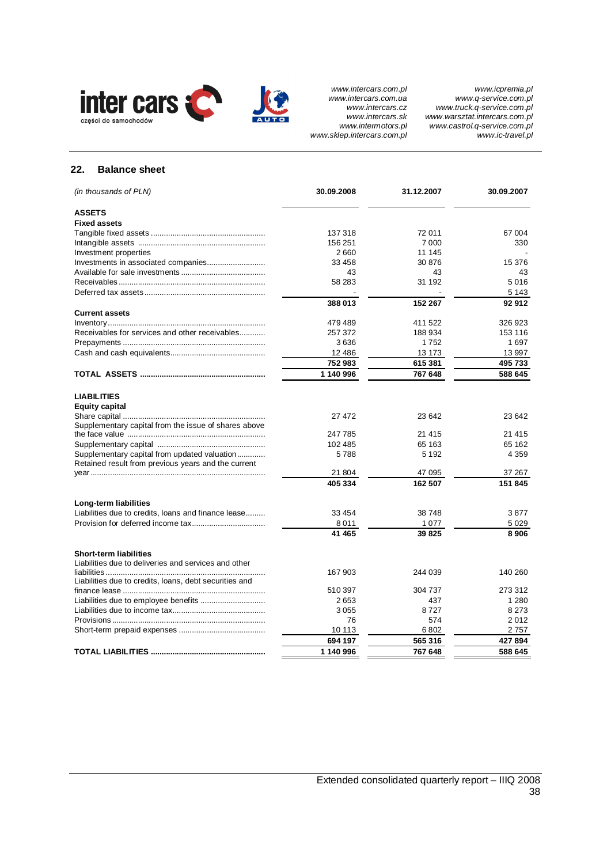

## **22. Balance sheet**

| (in thousands of PLN)                                                                               | 30.09.2008 | 31.12.2007 | 30.09.2007 |
|-----------------------------------------------------------------------------------------------------|------------|------------|------------|
| <b>ASSETS</b>                                                                                       |            |            |            |
| <b>Fixed assets</b>                                                                                 |            |            |            |
|                                                                                                     | 137 318    | 72 011     | 67 004     |
|                                                                                                     | 156 251    | 7 0 0 0    | 330        |
| Investment properties                                                                               | 2660       | 11 145     |            |
|                                                                                                     | 33 458     | 30 876     | 15 376     |
|                                                                                                     | 43         | 43         | 43         |
|                                                                                                     | 58 283     | 31 192     | 5016       |
|                                                                                                     |            |            | 5 1 4 3    |
|                                                                                                     | 388013     | 152 267    | 92912      |
| <b>Current assets</b>                                                                               |            |            |            |
|                                                                                                     | 479489     | 411 522    | 326 923    |
| Receivables for services and other receivables                                                      | 257 372    | 188934     | 153 116    |
|                                                                                                     | 3636       | 1752       | 1697       |
|                                                                                                     | 12 486     | 13 173     | 13 997     |
|                                                                                                     | 752983     | 615 381    | 495 733    |
|                                                                                                     | 1 140 996  | 767 648    | 588 645    |
|                                                                                                     |            |            |            |
| <b>LIABILITIES</b>                                                                                  |            |            |            |
| <b>Equity capital</b>                                                                               |            |            |            |
|                                                                                                     | 27 472     | 23 642     | 23 642     |
| Supplementary capital from the issue of shares above                                                |            |            |            |
|                                                                                                     | 247785     | 21 4 15    | 21 4 15    |
|                                                                                                     | 102 485    | 65 163     | 65 162     |
| Supplementary capital from updated valuation<br>Retained result from previous years and the current | 5788       | 5 1 9 2    | 4 3 5 9    |
|                                                                                                     | 21 804     | 47 095     | 37 267     |
|                                                                                                     | 405 334    | 162 507    | 151 845    |
| Long-term liabilities                                                                               |            |            |            |
| Liabilities due to credits, loans and finance lease                                                 | 33 454     | 38 748     | 3877       |
|                                                                                                     | 8011       | 1077       | 5 0 2 9    |
|                                                                                                     | 41 465     | 39 825     | 8906       |
|                                                                                                     |            |            |            |
| <b>Short-term liabilities</b><br>Liabilities due to deliveries and services and other               |            |            |            |
|                                                                                                     | 167 903    | 244 039    | 140 260    |
| Liabilities due to credits, loans, debt securities and                                              |            |            |            |
|                                                                                                     | 510 397    | 304 737    | 273 312    |
|                                                                                                     | 2653       | 437        | 1 2 8 0    |
|                                                                                                     |            |            | 8 2 7 3    |
|                                                                                                     | 3055       | 8727       |            |
|                                                                                                     | 76         | 574        | 2012       |
|                                                                                                     | 10 113     | 6802       | 2757       |
|                                                                                                     | 694 197    | 565 316    | 427 894    |
|                                                                                                     | 1 140 996  | 767 648    | 588 645    |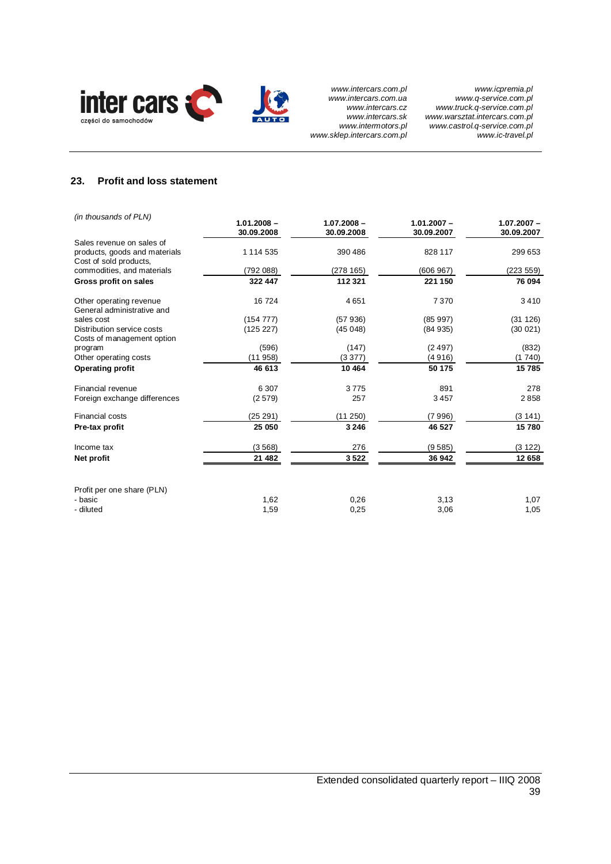

## **23. Profit and loss statement**

| (in thousands of PLN)                                                                | $1.01.2008 -$<br>30.09.2008 | $1.07.2008 -$<br>30.09.2008 | $1.01.2007 -$<br>30.09.2007 | $1.07.2007 -$<br>30.09.2007 |
|--------------------------------------------------------------------------------------|-----------------------------|-----------------------------|-----------------------------|-----------------------------|
| Sales revenue on sales of<br>products, goods and materials<br>Cost of sold products, | 1 1 1 4 5 3 5               | 390 486                     | 828 117                     | 299 653                     |
| commodities, and materials                                                           | (792088)                    | (278165)                    | (606967)                    | (223 559)                   |
| Gross profit on sales                                                                | 322 447                     | 112 321                     | 221 150                     | 76 094                      |
| Other operating revenue<br>General administrative and                                | 16 724                      | 4651                        | 7370                        | 3410                        |
| sales cost                                                                           | (154777)                    | (57936)                     | (85997)                     | (31 126)                    |
| Distribution service costs<br>Costs of management option                             | (125 227)                   | (45048)                     | (84935)                     | (30021)                     |
| program                                                                              | (596)                       | (147)                       | (2497)                      | (832)                       |
| Other operating costs                                                                | (11958)                     | (3377)                      | (4916)                      | (1740)                      |
| <b>Operating profit</b>                                                              | 46 613                      | 10 4 64                     | 50 175                      | 15785                       |
| Financial revenue                                                                    | 6 3 0 7                     | 3775                        | 891                         | 278                         |
| Foreign exchange differences                                                         | (2579)                      | 257                         | 3457                        | 2858                        |
| Financial costs                                                                      | (25 291)                    | (11 250)                    | (7996)                      | (3141)                      |
| Pre-tax profit                                                                       | 25 050                      | 3 2 4 6                     | 46 527                      | 15780                       |
| Income tax                                                                           | (3568)                      | 276                         | (9585)                      | (3 122)                     |
| Net profit                                                                           | 21 482                      | 3522                        | 36 942                      | 12 658                      |
| Profit per one share (PLN)<br>- basic                                                | 1,62                        | 0,26                        | 3,13                        | 1,07                        |
| - diluted                                                                            | 1,59                        | 0,25                        | 3,06                        | 1,05                        |
|                                                                                      |                             |                             |                             |                             |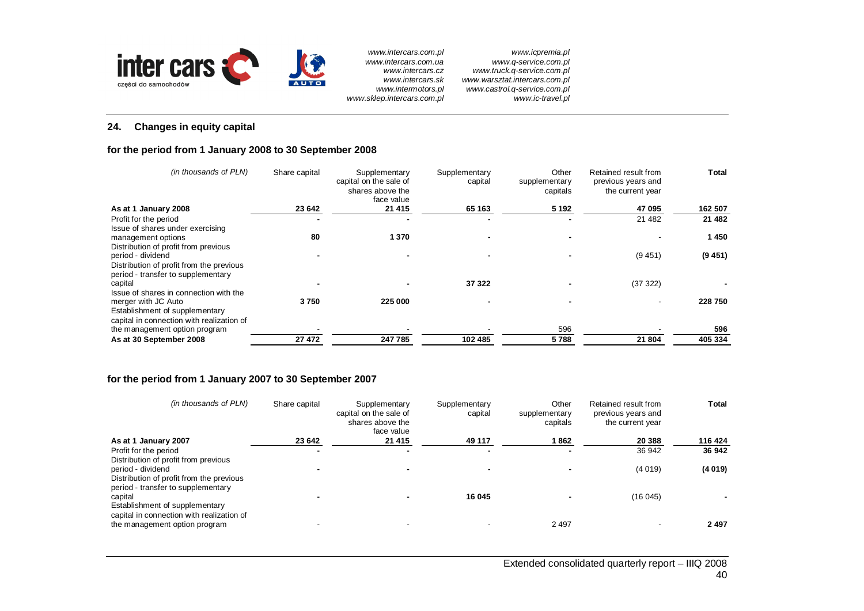

*www.icpremia.pl www.q-service.com.pl www.truck.q-service.com.pl www.warsztat.intercars.com.pl www.castrol.q-service.com.pl www.ic-travel.pl* 

# **24. Changes in equity capital**

## **for the period from 1 January 2008 to 30 September 2008**

| (in thousands of PLN)                                                                               | Share capital | Supplementary<br>capital on the sale of<br>shares above the<br>face value | Supplementary<br>capital | Other<br>supplementary<br>capitals | Retained result from<br>previous years and<br>the current year | <b>Total</b> |
|-----------------------------------------------------------------------------------------------------|---------------|---------------------------------------------------------------------------|--------------------------|------------------------------------|----------------------------------------------------------------|--------------|
| As at 1 January 2008                                                                                | 23 642        | 21 4 15                                                                   | 65 163                   | 5 1 9 2                            | 47 095                                                         | 162 507      |
| Profit for the period<br>Issue of shares under exercising                                           |               |                                                                           |                          |                                    | 21 4 8 2                                                       | 21 482       |
| management options<br>Distribution of profit from previous                                          | 80            | 1 3 7 0                                                                   |                          |                                    |                                                                | 1450         |
| period - dividend<br>Distribution of profit from the previous<br>period - transfer to supplementary |               |                                                                           |                          |                                    | (9451)                                                         | (9, 451)     |
| capital<br>Issue of shares in connection with the                                                   |               |                                                                           | 37 322                   |                                    | (37322)                                                        |              |
| merger with JC Auto<br>Establishment of supplementary<br>capital in connection with realization of  | 3750          | 225 000                                                                   |                          |                                    |                                                                | 228 750      |
| the management option program                                                                       |               |                                                                           |                          | 596                                |                                                                | 596          |
| As at 30 September 2008                                                                             | 27 472        | 247785                                                                    | 102 485                  | 5788                               | 21 804                                                         | 405 334      |

## **for the period from 1 January 2007 to 30 September 2007**

| (in thousands of PLN)                                                                                 | Share capital | Supplementary<br>capital on the sale of<br>shares above the<br>face value | Supplementary<br>capital | Other<br>supplementary<br>capitals | Retained result from<br>previous years and<br>the current year | Total   |
|-------------------------------------------------------------------------------------------------------|---------------|---------------------------------------------------------------------------|--------------------------|------------------------------------|----------------------------------------------------------------|---------|
| As at 1 January 2007                                                                                  | 23 642        | 21 4 15                                                                   | 49 117                   | 1 862                              | 20 388                                                         | 116 424 |
| Profit for the period                                                                                 |               |                                                                           |                          |                                    | 36 942                                                         | 36 942  |
| Distribution of profit from previous<br>period - dividend<br>Distribution of profit from the previous |               |                                                                           |                          |                                    | (4019)                                                         | (4019)  |
| period - transfer to supplementary<br>capital<br>Establishment of supplementary                       |               |                                                                           | 16 045                   |                                    | (16045)                                                        |         |
| capital in connection with realization of<br>the management option program                            |               |                                                                           |                          | 2497                               |                                                                | 2497    |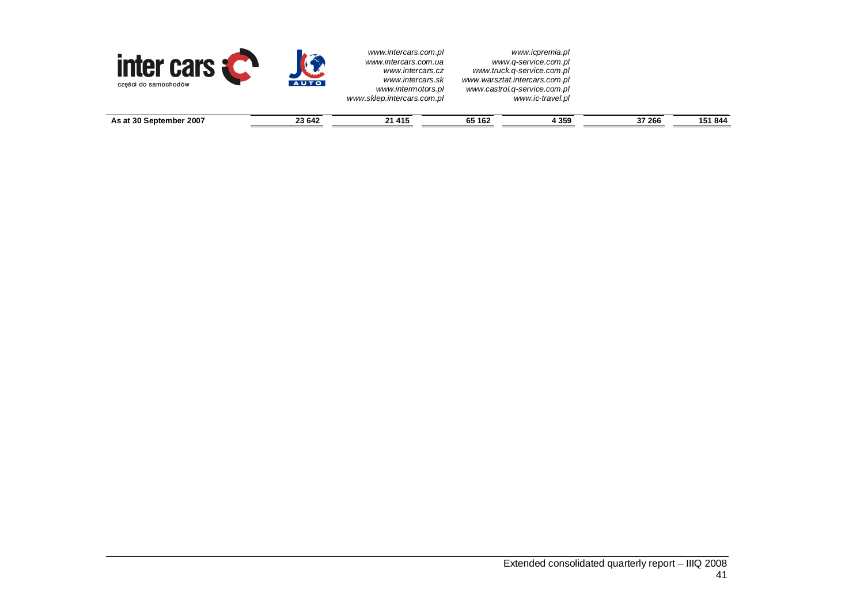| <b>inter cars</b><br>części do samochodów | AUTO   | www.intercars.com.pl<br>www.intercars.com.ua<br>www.intercars.cz<br>www.intercars.sk<br>www.intermotors.pl<br>www.sklep.intercars.com.pl |        | www.icpremia.pl<br>www.q-service.com.pl<br>www.truck.g-service.com.pl<br>www.warsztat.intercars.com.pl<br>www.castrol.g-service.com.pl<br>www.ic-travel.pl |        |         |
|-------------------------------------------|--------|------------------------------------------------------------------------------------------------------------------------------------------|--------|------------------------------------------------------------------------------------------------------------------------------------------------------------|--------|---------|
| As at 30 September 2007                   | 23 642 | 21 4 15                                                                                                                                  | 65 162 | 4 3 5 9                                                                                                                                                    | 37 266 | 151 844 |